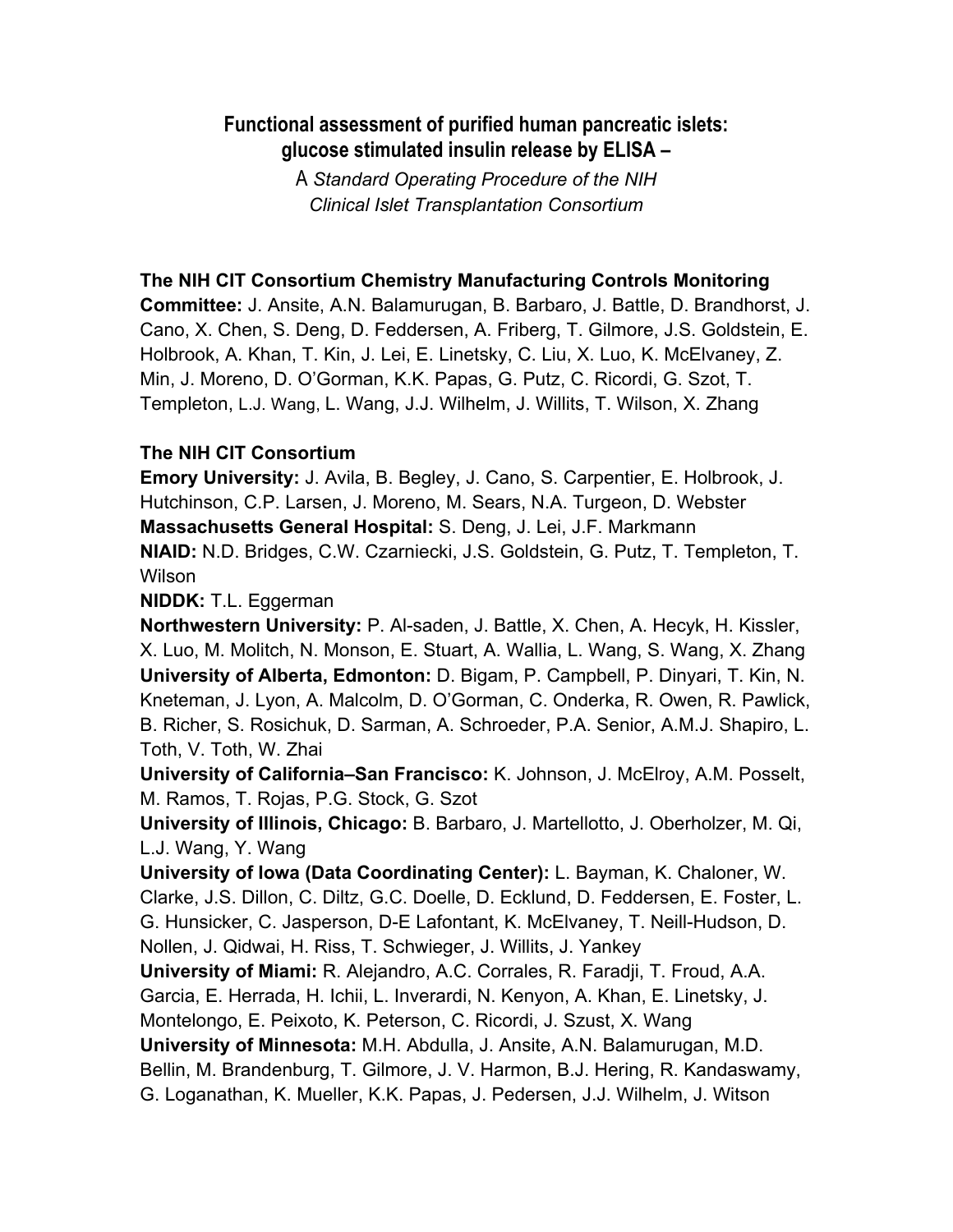### **Functional assessment of purified human pancreatic islets: glucose stimulated insulin release by ELISA –**

A *Standard Operating Procedure of the NIH Clinical Islet Transplantation Consortium*

### **The NIH CIT Consortium Chemistry Manufacturing Controls Monitoring**

**Committee:** J. Ansite, A.N. Balamurugan, B. Barbaro, J. Battle, D. Brandhorst, J. Cano, X. Chen, S. Deng, D. Feddersen, A. Friberg, T. Gilmore, J.S. Goldstein, E. Holbrook, A. Khan, T. Kin, J. Lei, E. Linetsky, C. Liu, X. Luo, K. McElvaney, Z. Min, J. Moreno, D. O'Gorman, K.K. Papas, G. Putz, C. Ricordi, G. Szot, T. Templeton, L.J. Wang, L. Wang, J.J. Wilhelm, J. Willits, T. Wilson, X. Zhang

### **The NIH CIT Consortium**

**Emory University:** J. Avila, B. Begley, J. Cano, S. Carpentier, E. Holbrook, J. Hutchinson, C.P. Larsen, J. Moreno, M. Sears, N.A. Turgeon, D. Webster **Massachusetts General Hospital:** S. Deng, J. Lei, J.F. Markmann **NIAID:** N.D. Bridges, C.W. Czarniecki, J.S. Goldstein, G. Putz, T. Templeton, T. Wilson

**NIDDK:** T.L. Eggerman

**Northwestern University:** P. Al-saden, J. Battle, X. Chen, A. Hecyk, H. Kissler, X. Luo, M. Molitch, N. Monson, E. Stuart, A. Wallia, L. Wang, S. Wang, X. Zhang **University of Alberta, Edmonton:** D. Bigam, P. Campbell, P. Dinyari, T. Kin, N. Kneteman, J. Lyon, A. Malcolm, D. O'Gorman, C. Onderka, R. Owen, R. Pawlick, B. Richer, S. Rosichuk, D. Sarman, A. Schroeder, P.A. Senior, A.M.J. Shapiro, L. Toth, V. Toth, W. Zhai

**University of California–San Francisco:** K. Johnson, J. McElroy, A.M. Posselt, M. Ramos, T. Rojas, P.G. Stock, G. Szot

**University of Illinois, Chicago:** B. Barbaro, J. Martellotto, J. Oberholzer, M. Qi, L.J. Wang, Y. Wang

**University of Iowa (Data Coordinating Center):** L. Bayman, K. Chaloner, W. Clarke, J.S. Dillon, C. Diltz, G.C. Doelle, D. Ecklund, D. Feddersen, E. Foster, L. G. Hunsicker, C. Jasperson, D-E Lafontant, K. McElvaney, T. Neill-Hudson, D. Nollen, J. Qidwai, H. Riss, T. Schwieger, J. Willits, J. Yankey

**University of Miami:** R. Alejandro, A.C. Corrales, R. Faradji, T. Froud, A.A.

Garcia, E. Herrada, H. Ichii, L. Inverardi, N. Kenyon, A. Khan, E. Linetsky, J.

Montelongo, E. Peixoto, K. Peterson, C. Ricordi, J. Szust, X. Wang

**University of Minnesota:** M.H. Abdulla, J. Ansite, A.N. Balamurugan, M.D. Bellin, M. Brandenburg, T. Gilmore, J. V. Harmon, B.J. Hering, R. Kandaswamy, G. Loganathan, K. Mueller, K.K. Papas, J. Pedersen, J.J. Wilhelm, J. Witson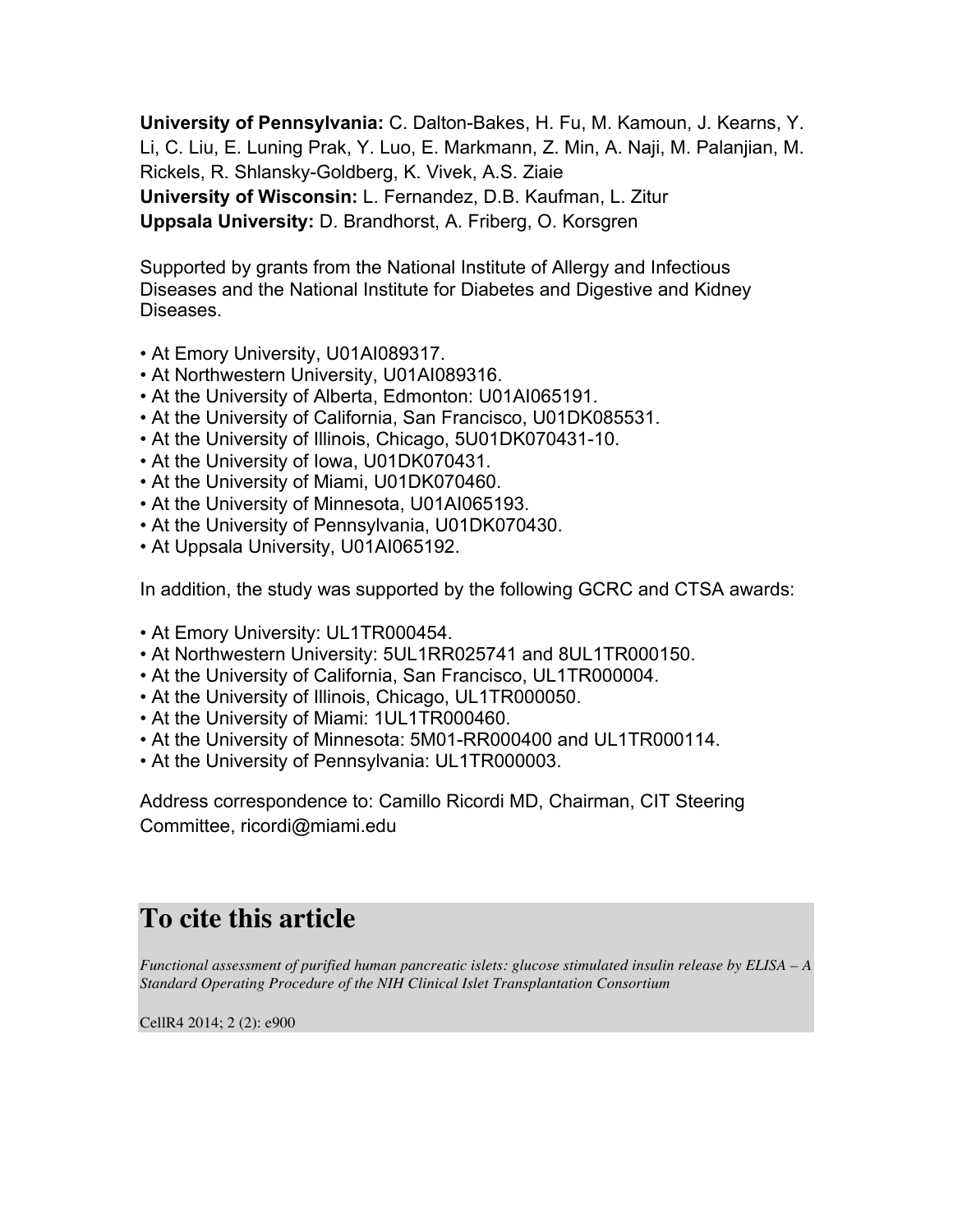**University of Pennsylvania:** C. Dalton-Bakes, H. Fu, M. Kamoun, J. Kearns, Y. Li, C. Liu, E. Luning Prak, Y. Luo, E. Markmann, Z. Min, A. Naji, M. Palanjian, M. Rickels, R. Shlansky-Goldberg, K. Vivek, A.S. Ziaie **University of Wisconsin:** L. Fernandez, D.B. Kaufman, L. Zitur **Uppsala University:** D. Brandhorst, A. Friberg, O. Korsgren

Supported by grants from the National Institute of Allergy and Infectious Diseases and the National Institute for Diabetes and Digestive and Kidney Diseases.

- At Emory University, U01AI089317.
- At Northwestern University, U01AI089316.
- At the University of Alberta, Edmonton: U01AI065191.
- At the University of California, San Francisco, U01DK085531.
- At the University of Illinois, Chicago, 5U01DK070431-10.
- At the University of Iowa, U01DK070431.
- At the University of Miami, U01DK070460.
- At the University of Minnesota, U01AI065193.
- At the University of Pennsylvania, U01DK070430.
- At Uppsala University, U01AI065192.

In addition, the study was supported by the following GCRC and CTSA awards:

- At Emory University: UL1TR000454.
- At Northwestern University: 5UL1RR025741 and 8UL1TR000150.
- At the University of California, San Francisco, UL1TR000004.
- At the University of Illinois, Chicago, UL1TR000050.
- At the University of Miami: 1UL1TR000460.
- At the University of Minnesota: 5M01-RR000400 and UL1TR000114.
- At the University of Pennsylvania: UL1TR000003.

Address correspondence to: Camillo Ricordi MD, Chairman, CIT Steering Committee, ricordi@miami.edu

# **To cite this article**

*Functional assessment of purified human pancreatic islets: glucose stimulated insulin release by ELISA – A Standard Operating Procedure of the NIH Clinical Islet Transplantation Consortium*

CellR4 2014; 2 (2): e900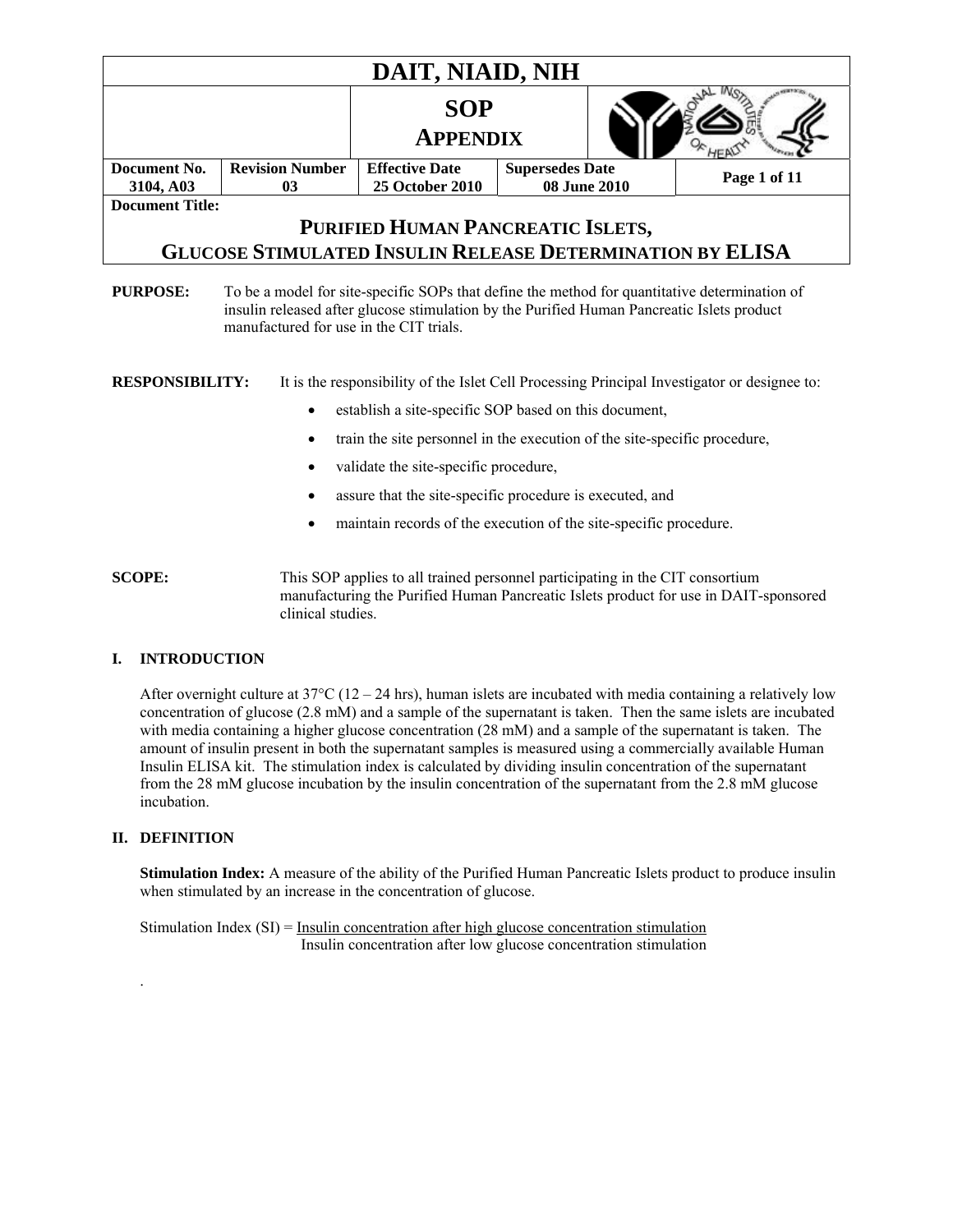| DAIT, NIAID, NIH                                                                                                                                                                                                                                                |                              |                                                                  |                                        |  |              |
|-----------------------------------------------------------------------------------------------------------------------------------------------------------------------------------------------------------------------------------------------------------------|------------------------------|------------------------------------------------------------------|----------------------------------------|--|--------------|
|                                                                                                                                                                                                                                                                 |                              | <b>SOP</b><br><b>APPENDIX</b>                                    |                                        |  |              |
| Document No.<br>3104, A03                                                                                                                                                                                                                                       | <b>Revision Number</b><br>03 | <b>Effective Date</b><br><b>25 October 2010</b>                  | <b>Supersedes Date</b><br>08 June 2010 |  | Page 1 of 11 |
| <b>Document Title:</b>                                                                                                                                                                                                                                          |                              |                                                                  |                                        |  |              |
|                                                                                                                                                                                                                                                                 |                              | PURIFIED HUMAN PANCREATIC ISLETS,                                |                                        |  |              |
|                                                                                                                                                                                                                                                                 |                              | <b>GLUCOSE STIMULATED INSULIN RELEASE DETERMINATION BY ELISA</b> |                                        |  |              |
| insulin released after glucose stimulation by the Purified Human Pancreatic Islets product<br>manufactured for use in the CIT trials.<br><b>RESPONSIBILITY:</b><br>It is the responsibility of the Islet Cell Processing Principal Investigator or designee to: |                              |                                                                  |                                        |  |              |
|                                                                                                                                                                                                                                                                 | $\bullet$                    | establish a site-specific SOP based on this document,            |                                        |  |              |
| train the site personnel in the execution of the site-specific procedure,<br>٠                                                                                                                                                                                  |                              |                                                                  |                                        |  |              |
| validate the site-specific procedure,<br>$\bullet$                                                                                                                                                                                                              |                              |                                                                  |                                        |  |              |
| assure that the site-specific procedure is executed, and                                                                                                                                                                                                        |                              |                                                                  |                                        |  |              |
| maintain records of the execution of the site-specific procedure.                                                                                                                                                                                               |                              |                                                                  |                                        |  |              |
|                                                                                                                                                                                                                                                                 |                              |                                                                  |                                        |  |              |

**SCOPE:** This SOP applies to all trained personnel participating in the CIT consortium manufacturing the Purified Human Pancreatic Islets product for use in DAIT-sponsored clinical studies.

### **I. INTRODUCTION**

After overnight culture at  $37^{\circ}$ C (12 – 24 hrs), human islets are incubated with media containing a relatively low concentration of glucose (2.8 mM) and a sample of the supernatant is taken. Then the same islets are incubated with media containing a higher glucose concentration (28 mM) and a sample of the supernatant is taken. The amount of insulin present in both the supernatant samples is measured using a commercially available Human Insulin ELISA kit. The stimulation index is calculated by dividing insulin concentration of the supernatant from the 28 mM glucose incubation by the insulin concentration of the supernatant from the 2.8 mM glucose incubation.

#### **II. DEFINITION**

.

**Stimulation Index:** A measure of the ability of the Purified Human Pancreatic Islets product to produce insulin when stimulated by an increase in the concentration of glucose.

Stimulation Index (SI) = Insulin concentration after high glucose concentration stimulation Insulin concentration after low glucose concentration stimulation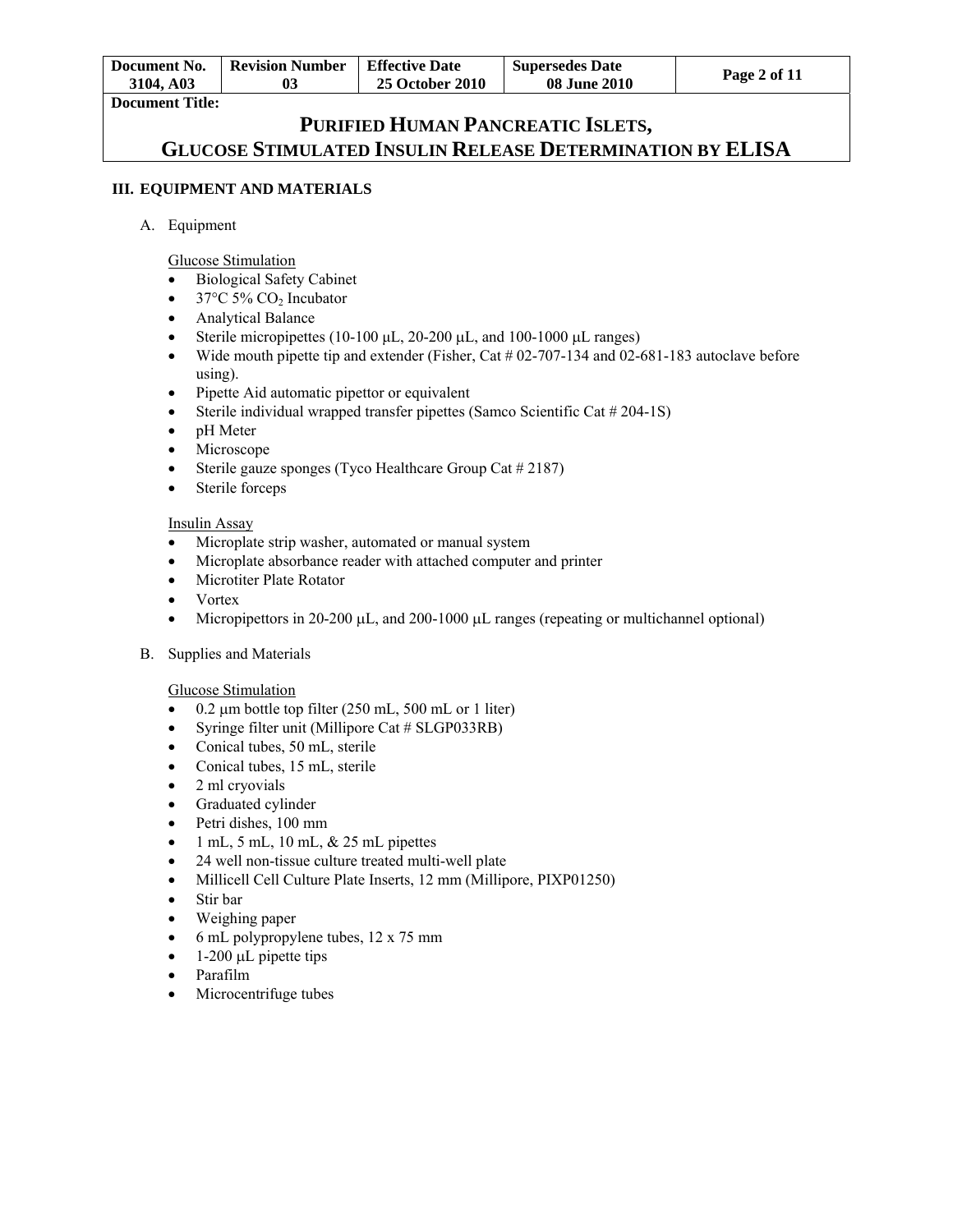| Document No. | Revision Number | <b>Effective Date</b>  | <b>Supersedes Date</b> |              |
|--------------|-----------------|------------------------|------------------------|--------------|
| 3104. A03    | 03              | <b>25 October 2010</b> | <b>08 June 2010</b>    | Page 2 of 11 |
| ---          |                 |                        |                        |              |

**Document Title:** 

# **PURIFIED HUMAN PANCREATIC ISLETS, GLUCOSE STIMULATED INSULIN RELEASE DETERMINATION BY ELISA**

### **III. EQUIPMENT AND MATERIALS**

### A. Equipment

Glucose Stimulation

- Biological Safety Cabinet
- $\bullet$  37°C 5% CO<sub>2</sub> Incubator
- Analytical Balance
- Sterile micropipettes (10-100  $\mu$ L, 20-200  $\mu$ L, and 100-1000  $\mu$ L ranges)
- Wide mouth pipette tip and extender (Fisher, Cat  $\#$  02-707-134 and 02-681-183 autoclave before using).
- Pipette Aid automatic pipettor or equivalent
- Sterile individual wrapped transfer pipettes (Samco Scientific Cat # 204-1S)
- pH Meter
- Microscope
- Sterile gauze sponges (Tyco Healthcare Group Cat  $\#2187$ )
- Sterile forceps

### Insulin Assay

- Microplate strip washer, automated or manual system
- Microplate absorbance reader with attached computer and printer
- Microtiter Plate Rotator
- Vortex
- $\bullet$  Micropipettors in 20-200  $\mu$ , and 200-1000  $\mu$ . Transfer (repeating or multichannel optional)
- B. Supplies and Materials

### Glucose Stimulation

- $\bullet$  0.2 µm bottle top filter (250 mL, 500 mL or 1 liter)
- Syringe filter unit (Millipore Cat # SLGP033RB)
- Conical tubes, 50 mL, sterile
- Conical tubes, 15 mL, sterile
- $\bullet$  2 ml cryovials
- Graduated cylinder
- Petri dishes, 100 mm
- 1 mL, 5 mL, 10 mL, & 25 mL pipettes
- 24 well non-tissue culture treated multi-well plate
- Millicell Cell Culture Plate Inserts, 12 mm (Millipore, PIXP01250)
- Stir bar
- Weighing paper
- 6 mL polypropylene tubes, 12 x 75 mm
- 1-200  $\mu$ L pipette tips
- Parafilm
- Microcentrifuge tubes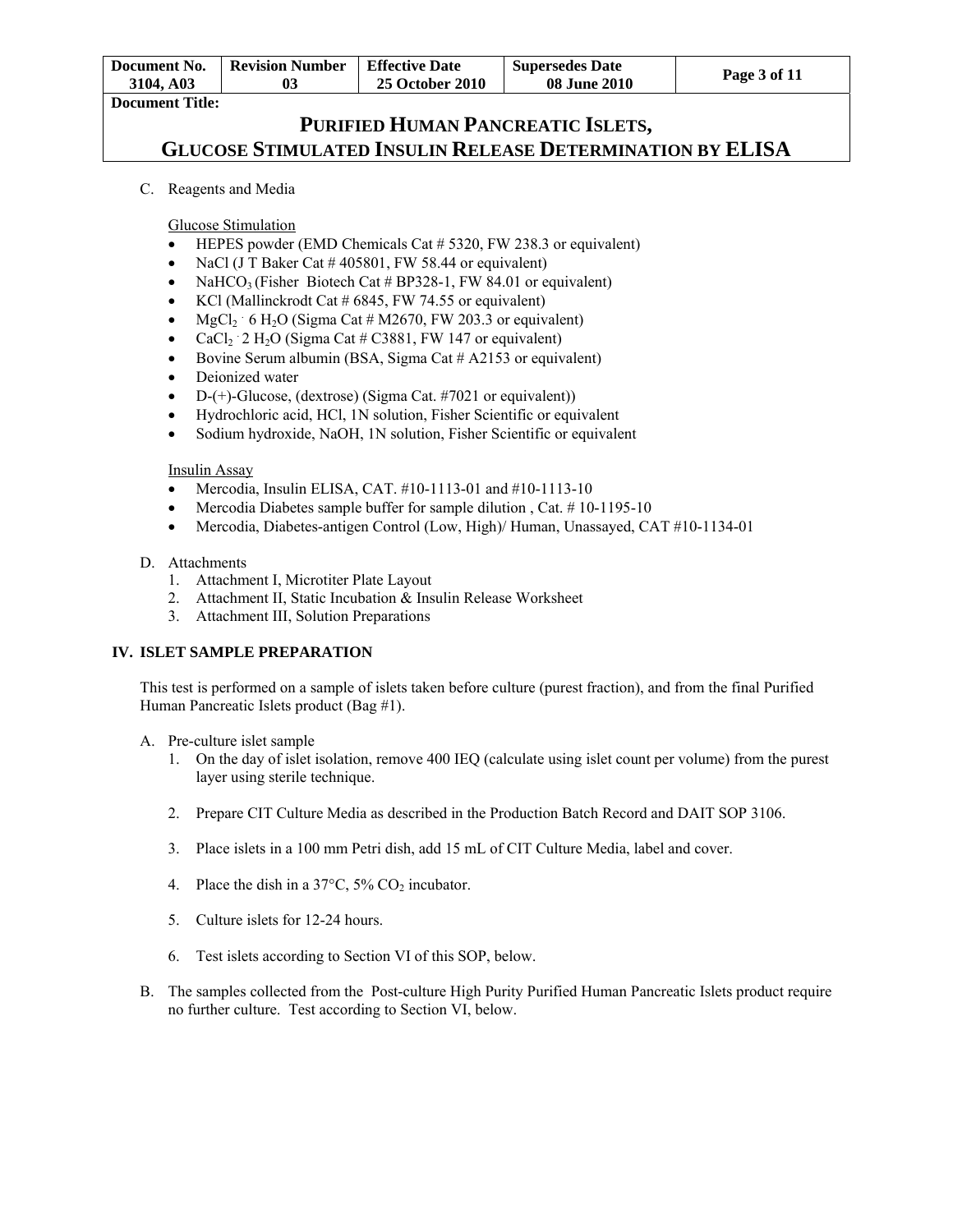| Document No.           | <b>Revision Number</b> | Effective Date         | <b>Supersedes Date</b> | Page 3 of 11 |
|------------------------|------------------------|------------------------|------------------------|--------------|
| 3104. A03              | 0 <sup>3</sup>         | <b>25 October 2010</b> | <b>08 June 2010</b>    |              |
| <b>Document Title:</b> |                        |                        |                        |              |

C. Reagents and Media

Glucose Stimulation

- HEPES powder (EMD Chemicals Cat # 5320, FW 238.3 or equivalent)
- NaCl (J T Baker Cat  $\#$  405801, FW 58.44 or equivalent)
- NaHCO<sub>3</sub> (Fisher Biotech Cat # BP328-1, FW 84.01 or equivalent)
- KCl (Mallinckrodt Cat  $\#$  6845, FW 74.55 or equivalent)
- MgCl<sub>2</sub> 6 H<sub>2</sub>O (Sigma Cat # M2670, FW 203.3 or equivalent)
- CaCl<sub>2</sub>  $\cdot$  2 H<sub>2</sub>O (Sigma Cat # C3881, FW 147 or equivalent)
- Bovine Serum albumin (BSA, Sigma Cat  $#$  A2153 or equivalent)
- Deionized water
- $-D-(+)$ -Glucose, (dextrose) (Sigma Cat. #7021 or equivalent))
- Hydrochloric acid, HCl, 1N solution, Fisher Scientific or equivalent
- Sodium hydroxide, NaOH, 1N solution, Fisher Scientific or equivalent

#### Insulin Assay

- Mercodia, Insulin ELISA, CAT.  $\#10-1113-01$  and  $\#10-1113-10$
- Mercodia Diabetes sample buffer for sample dilution , Cat. # 10-1195-10
- Mercodia, Diabetes-antigen Control (Low, High)/ Human, Unassayed, CAT #10-1134-01

#### D. Attachments

- 1. Attachment I, Microtiter Plate Layout
- 2. Attachment II, Static Incubation & Insulin Release Worksheet
- 3. Attachment III, Solution Preparations

### **IV. ISLET SAMPLE PREPARATION**

This test is performed on a sample of islets taken before culture (purest fraction), and from the final Purified Human Pancreatic Islets product (Bag #1).

- A. Pre-culture islet sample
	- 1. On the day of islet isolation, remove 400 IEQ (calculate using islet count per volume) from the purest layer using sterile technique.
	- 2. Prepare CIT Culture Media as described in the Production Batch Record and DAIT SOP 3106.
	- 3. Place islets in a 100 mm Petri dish, add 15 mL of CIT Culture Media, label and cover.
	- 4. Place the dish in a  $37^{\circ}$ C,  $5\%$  CO<sub>2</sub> incubator.
	- 5. Culture islets for 12-24 hours.
	- 6. Test islets according to Section VI of this SOP, below.
- B. The samples collected from the Post-culture High Purity Purified Human Pancreatic Islets product require no further culture. Test according to Section VI, below.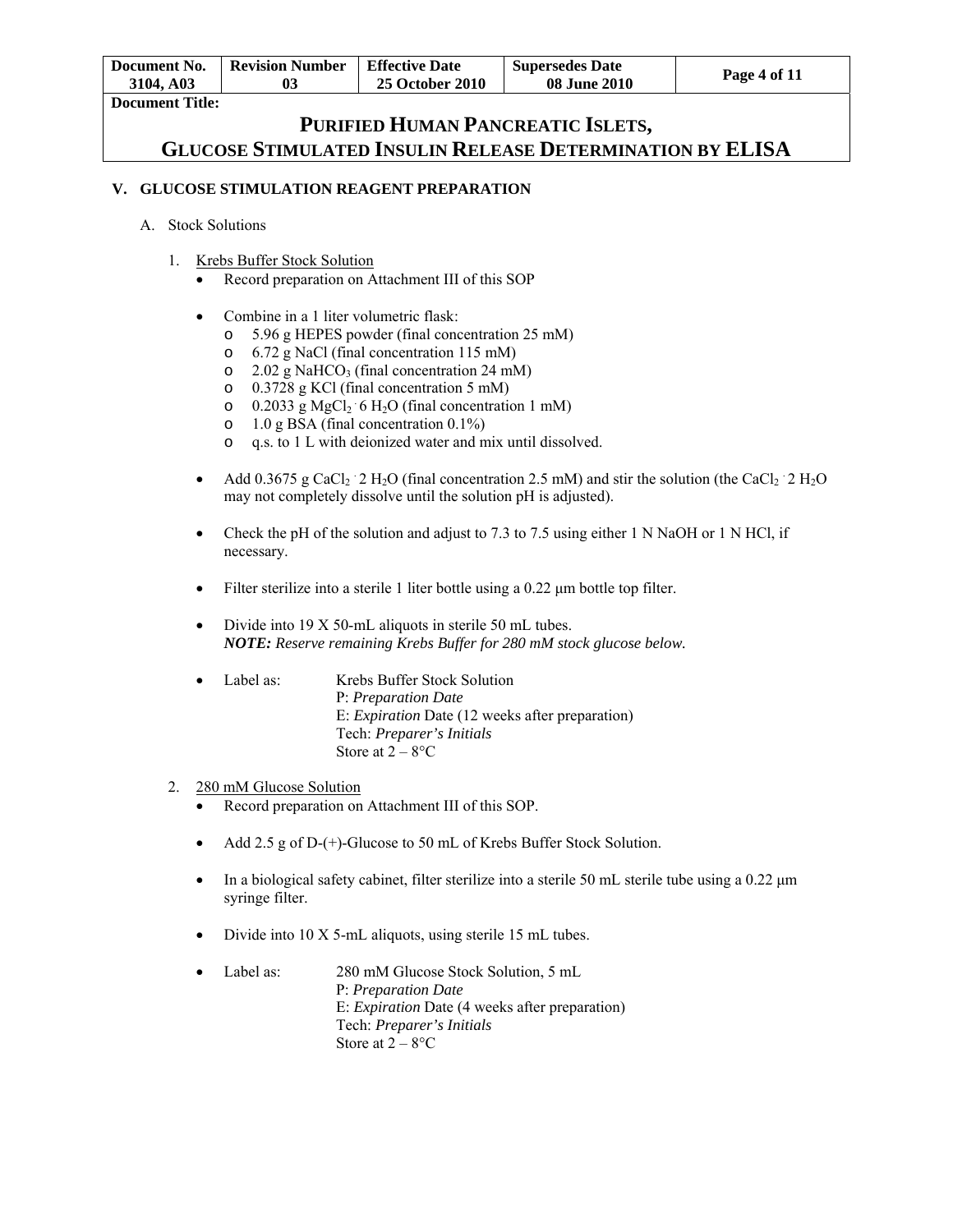| Document No.           | <b>Revision Number</b> | <b>Effective Date</b>  | <b>Supersedes Date</b> | Page 4 of 11 |
|------------------------|------------------------|------------------------|------------------------|--------------|
| 3104, A03              | 03                     | <b>25 October 2010</b> | <b>08 June 2010</b>    |              |
| <b>Document Title:</b> |                        |                        |                        |              |

### **V. GLUCOSE STIMULATION REAGENT PREPARATION**

#### A. Stock Solutions

- 1. Krebs Buffer Stock Solution
	- Record preparation on Attachment III of this SOP
	- Combine in a 1 liter volumetric flask:
		- o 5.96 g HEPES powder (final concentration 25 mM)
		- o 6.72 g NaCl (final concentration 115 mM)
		- $\degree$  2.02 g NaHCO<sub>3</sub> (final concentration 24 mM)
		- o 0.3728 g KCl (final concentration 5 mM)
		- $\circ$  0.2033 g MgCl<sub>2</sub> 6 H<sub>2</sub>O (final concentration 1 mM)
		- o 1.0 g BSA (final concentration 0.1%)
		- o q.s. to 1 L with deionized water and mix until dissolved.
	- Add 0.3675 g CaCl<sub>2</sub> 2 H<sub>2</sub>O (final concentration 2.5 mM) and stir the solution (the CaCl<sub>2</sub> 2 H<sub>2</sub>O may not completely dissolve until the solution pH is adjusted).
	- Check the pH of the solution and adjust to 7.3 to 7.5 using either 1 N NaOH or 1 N HCl, if necessary.
	- Filter sterilize into a sterile 1 liter bottle using a 0.22 μm bottle top filter.
	- Divide into 19 X 50-mL aliquots in sterile 50 mL tubes. *NOTE: Reserve remaining Krebs Buffer for 280 mM stock glucose below.*
	- Label as: Krebs Buffer Stock Solution P: *Preparation Date*  E: *Expiration* Date (12 weeks after preparation) Tech: *Preparer's Initials*  Store at  $2 - 8$ °C

#### 2. 280 mM Glucose Solution

- Record preparation on Attachment III of this SOP.
- Add 2.5 g of D-(+)-Glucose to 50 mL of Krebs Buffer Stock Solution.
- In a biological safety cabinet, filter sterilize into a sterile 50 mL sterile tube using a 0.22 μm syringe filter.
- Divide into 10 X 5-mL aliquots, using sterile 15 mL tubes.
- Label as: 280 mM Glucose Stock Solution, 5 mL P: *Preparation Date*  E: *Expiration* Date (4 weeks after preparation) Tech: *Preparer's Initials*  Store at  $2 - 8$ °C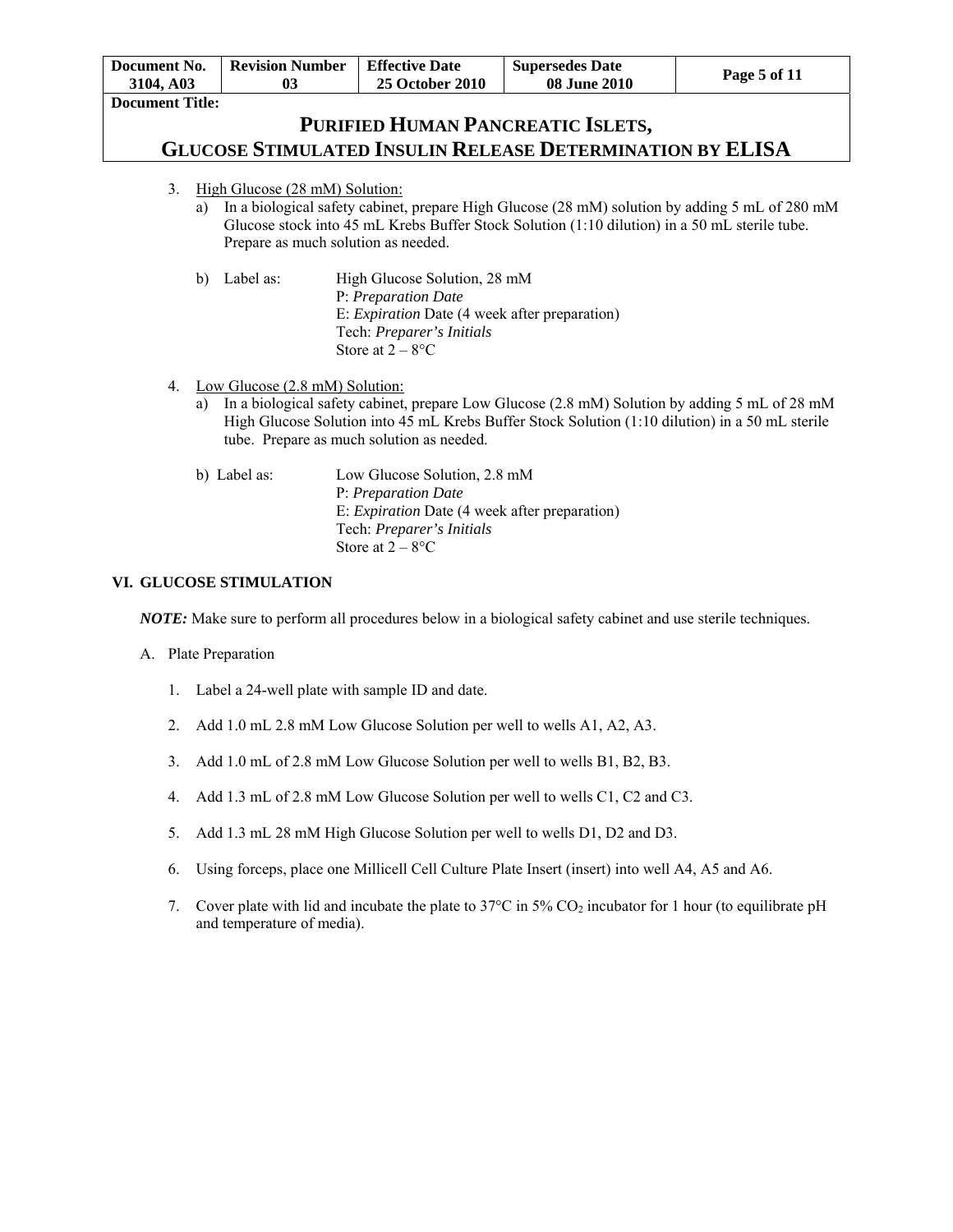| Document No.           | <b>Revision Number</b> | <b>Effective Date</b>  | <b>Supersedes Date</b> | Page 5 of 11 |
|------------------------|------------------------|------------------------|------------------------|--------------|
| 3104, A03              |                        | <b>25 October 2010</b> | <b>08 June 2010</b>    |              |
| <b>Document Title:</b> |                        |                        |                        |              |

- 3. High Glucose (28 mM) Solution:
	- a) In a biological safety cabinet, prepare High Glucose (28 mM) solution by adding 5 mL of 280 mM Glucose stock into 45 mL Krebs Buffer Stock Solution (1:10 dilution) in a 50 mL sterile tube. Prepare as much solution as needed.
	- b) Label as: High Glucose Solution, 28 mM P: *Preparation Date*  E: *Expiration* Date (4 week after preparation) Tech: *Preparer's Initials*  Store at  $2 - 8$ <sup>o</sup>C
- 4. Low Glucose (2.8 mM) Solution:
	- a) In a biological safety cabinet, prepare Low Glucose (2.8 mM) Solution by adding 5 mL of 28 mM High Glucose Solution into 45 mL Krebs Buffer Stock Solution (1:10 dilution) in a 50 mL sterile tube. Prepare as much solution as needed.

| b) Label as: | Low Glucose Solution, 2.8 mM                         |
|--------------|------------------------------------------------------|
|              | P: Preparation Date                                  |
|              | E: <i>Expiration</i> Date (4 week after preparation) |
|              | Tech: <i>Preparer's Initials</i>                     |
|              | Store at $2-8$ <sup>o</sup> C                        |

### **VI. GLUCOSE STIMULATION**

*NOTE:* Make sure to perform all procedures below in a biological safety cabinet and use sterile techniques.

- A. Plate Preparation
	- 1. Label a 24-well plate with sample ID and date.
	- 2. Add 1.0 mL 2.8 mM Low Glucose Solution per well to wells A1, A2, A3.
	- 3. Add 1.0 mL of 2.8 mM Low Glucose Solution per well to wells B1, B2, B3.
	- 4. Add 1.3 mL of 2.8 mM Low Glucose Solution per well to wells C1, C2 and C3.
	- 5. Add 1.3 mL 28 mM High Glucose Solution per well to wells D1, D2 and D3.
	- 6. Using forceps, place one Millicell Cell Culture Plate Insert (insert) into well A4, A5 and A6.
	- 7. Cover plate with lid and incubate the plate to  $37^{\circ}$ C in  $5\%$  CO<sub>2</sub> incubator for 1 hour (to equilibrate pH and temperature of media).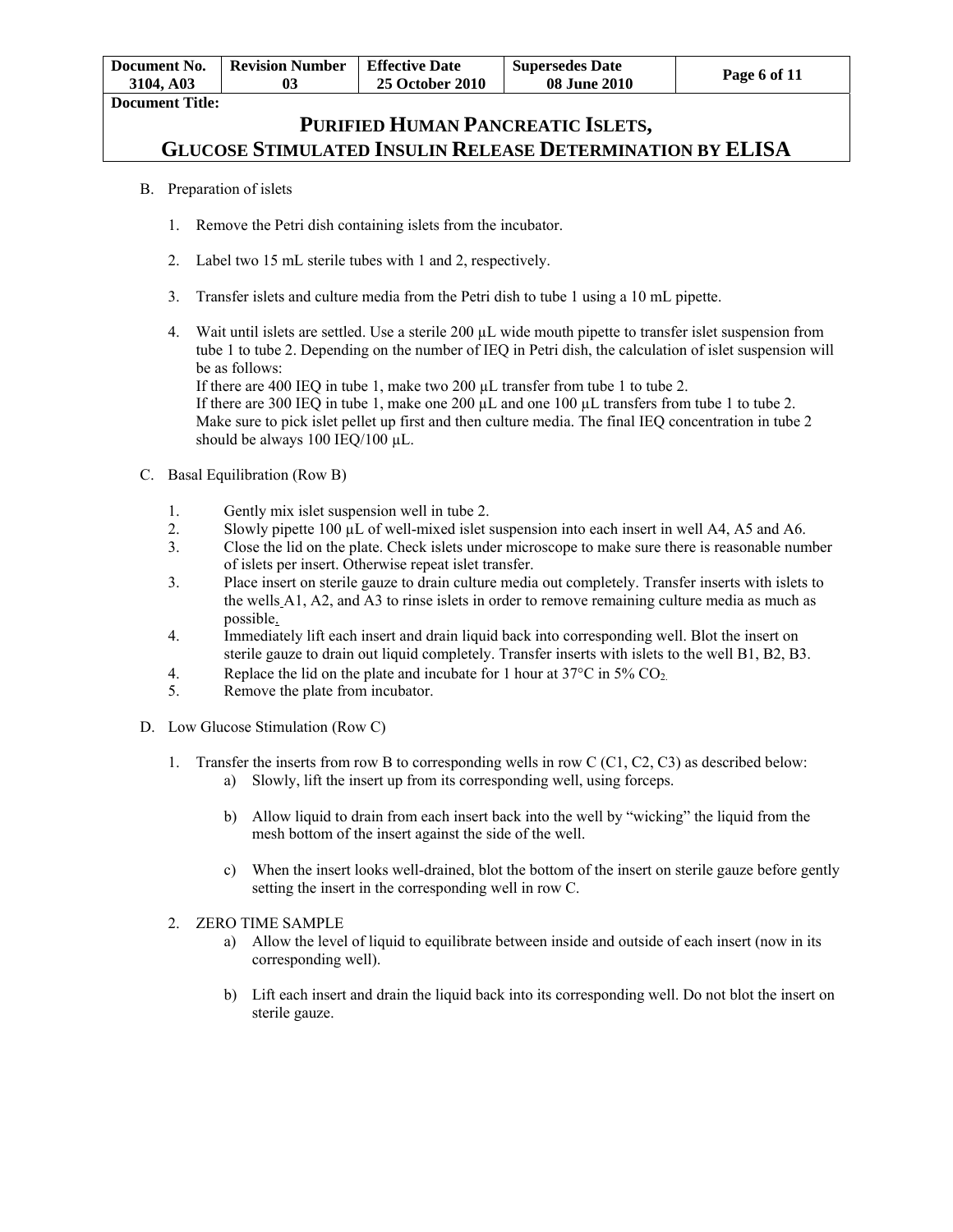| Document No.<br>3104. A03 | Revision Number | <b>Effective Date</b><br><b>25 October 2010</b> | <b>Supersedes Date</b><br><b>08 June 2010</b> | Page 6 of 11 |
|---------------------------|-----------------|-------------------------------------------------|-----------------------------------------------|--------------|
| <b>Document Title:</b>    |                 |                                                 |                                               |              |

### B. Preparation of islets

- 1. Remove the Petri dish containing islets from the incubator.
- 2. Label two 15 mL sterile tubes with 1 and 2, respectively.
- 3. Transfer islets and culture media from the Petri dish to tube 1 using a 10 mL pipette.
- 4. Wait until islets are settled. Use a sterile 200 µL wide mouth pipette to transfer islet suspension from tube 1 to tube 2. Depending on the number of IEQ in Petri dish, the calculation of islet suspension will be as follows:

If there are 400 IEQ in tube 1, make two 200 µL transfer from tube 1 to tube 2. If there are 300 IEQ in tube 1, make one 200 µL and one 100 µL transfers from tube 1 to tube 2. Make sure to pick islet pellet up first and then culture media. The final IEQ concentration in tube 2 should be always 100 IEQ/100 µL.

- C. Basal Equilibration (Row B)
	- 1. Gently mix islet suspension well in tube 2.
	- 2. Slowly pipette 100 µL of well-mixed islet suspension into each insert in well A4, A5 and A6.
	- 3. Close the lid on the plate. Check islets under microscope to make sure there is reasonable number of islets per insert. Otherwise repeat islet transfer.
	- 3. Place insert on sterile gauze to drain culture media out completely. Transfer inserts with islets to the wells A1, A2, and A3 to rinse islets in order to remove remaining culture media as much as possible.
	- 4. Immediately lift each insert and drain liquid back into corresponding well. Blot the insert on sterile gauze to drain out liquid completely. Transfer inserts with islets to the well B1, B2, B3.
	- 4. Replace the lid on the plate and incubate for 1 hour at  $37^{\circ}$ C in  $5\%$  CO<sub>2</sub>.<br>5. Remove the plate from incubator.
	- Remove the plate from incubator.
- D. Low Glucose Stimulation (Row C)
	- 1. Transfer the inserts from row B to corresponding wells in row C (C1, C2, C3) as described below: a) Slowly, lift the insert up from its corresponding well, using forceps.
		- b) Allow liquid to drain from each insert back into the well by "wicking" the liquid from the mesh bottom of the insert against the side of the well.
		- c) When the insert looks well-drained, blot the bottom of the insert on sterile gauze before gently setting the insert in the corresponding well in row C.
	- 2. ZERO TIME SAMPLE
		- a) Allow the level of liquid to equilibrate between inside and outside of each insert (now in its corresponding well).
		- b) Lift each insert and drain the liquid back into its corresponding well. Do not blot the insert on sterile gauze.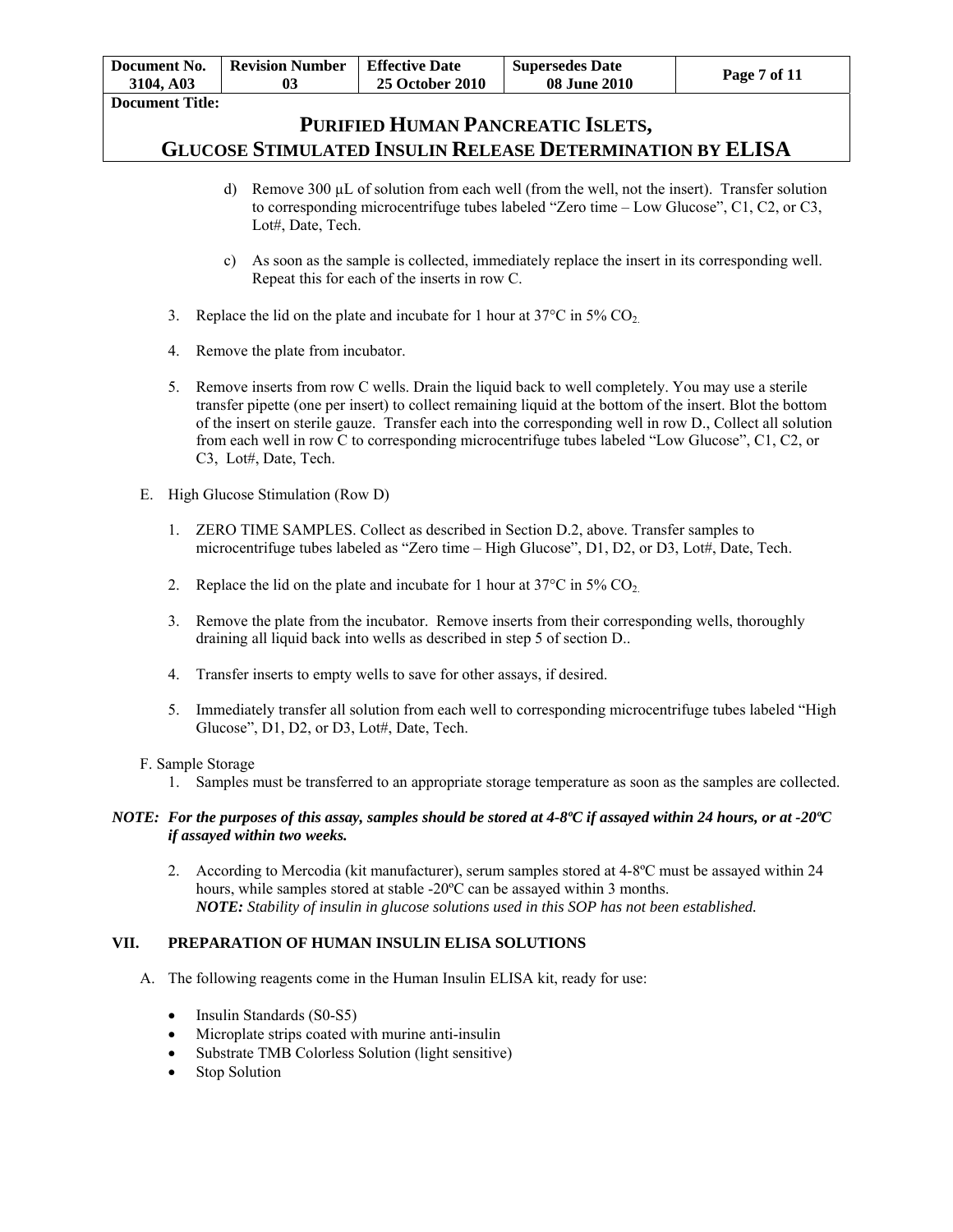| Document No.<br>3104. A03 | <b>Revision Number</b> | <b>Effective Date</b><br><b>25 October 2010</b> | <b>Supersedes Date</b><br><b>08 June 2010</b> | Page 7 of 11 |
|---------------------------|------------------------|-------------------------------------------------|-----------------------------------------------|--------------|
| Document Title:           |                        |                                                 |                                               |              |

- d) Remove 300  $\mu$ L of solution from each well (from the well, not the insert). Transfer solution to corresponding microcentrifuge tubes labeled "Zero time – Low Glucose", C1, C2, or C3, Lot#, Date, Tech.
- c) As soon as the sample is collected, immediately replace the insert in its corresponding well. Repeat this for each of the inserts in row C.
- 3. Replace the lid on the plate and incubate for 1 hour at  $37^{\circ}$ C in  $5\%$  CO<sub>2</sub>.
- 4. Remove the plate from incubator.
- 5. Remove inserts from row C wells. Drain the liquid back to well completely. You may use a sterile transfer pipette (one per insert) to collect remaining liquid at the bottom of the insert. Blot the bottom of the insert on sterile gauze. Transfer each into the corresponding well in row D., Collect all solution from each well in row C to corresponding microcentrifuge tubes labeled "Low Glucose", C1, C2, or C3, Lot#, Date, Tech.
- E. High Glucose Stimulation (Row D)
	- 1. ZERO TIME SAMPLES. Collect as described in Section D.2, above. Transfer samples to microcentrifuge tubes labeled as "Zero time – High Glucose", D1, D2, or D3, Lot#, Date, Tech.
	- 2. Replace the lid on the plate and incubate for 1 hour at  $37^{\circ}$ C in  $5\%$  CO<sub>2</sub>.
	- 3. Remove the plate from the incubator. Remove inserts from their corresponding wells, thoroughly draining all liquid back into wells as described in step 5 of section D..
	- 4. Transfer inserts to empty wells to save for other assays, if desired.
	- 5. Immediately transfer all solution from each well to corresponding microcentrifuge tubes labeled "High Glucose", D1, D2, or D3, Lot#, Date, Tech.

#### F. Sample Storage

1. Samples must be transferred to an appropriate storage temperature as soon as the samples are collected.

### *NOTE: For the purposes of this assay, samples should be stored at 4-8ºC if assayed within 24 hours, or at -20ºC if assayed within two weeks.*

2. According to Mercodia (kit manufacturer), serum samples stored at 4-8ºC must be assayed within 24 hours, while samples stored at stable -20ºC can be assayed within 3 months. *NOTE: Stability of insulin in glucose solutions used in this SOP has not been established.* 

### **VII. PREPARATION OF HUMAN INSULIN ELISA SOLUTIONS**

- A. The following reagents come in the Human Insulin ELISA kit, ready for use:
	- Insulin Standards (S0-S5)
	- Microplate strips coated with murine anti-insulin
	- Substrate TMB Colorless Solution (light sensitive)
	- Stop Solution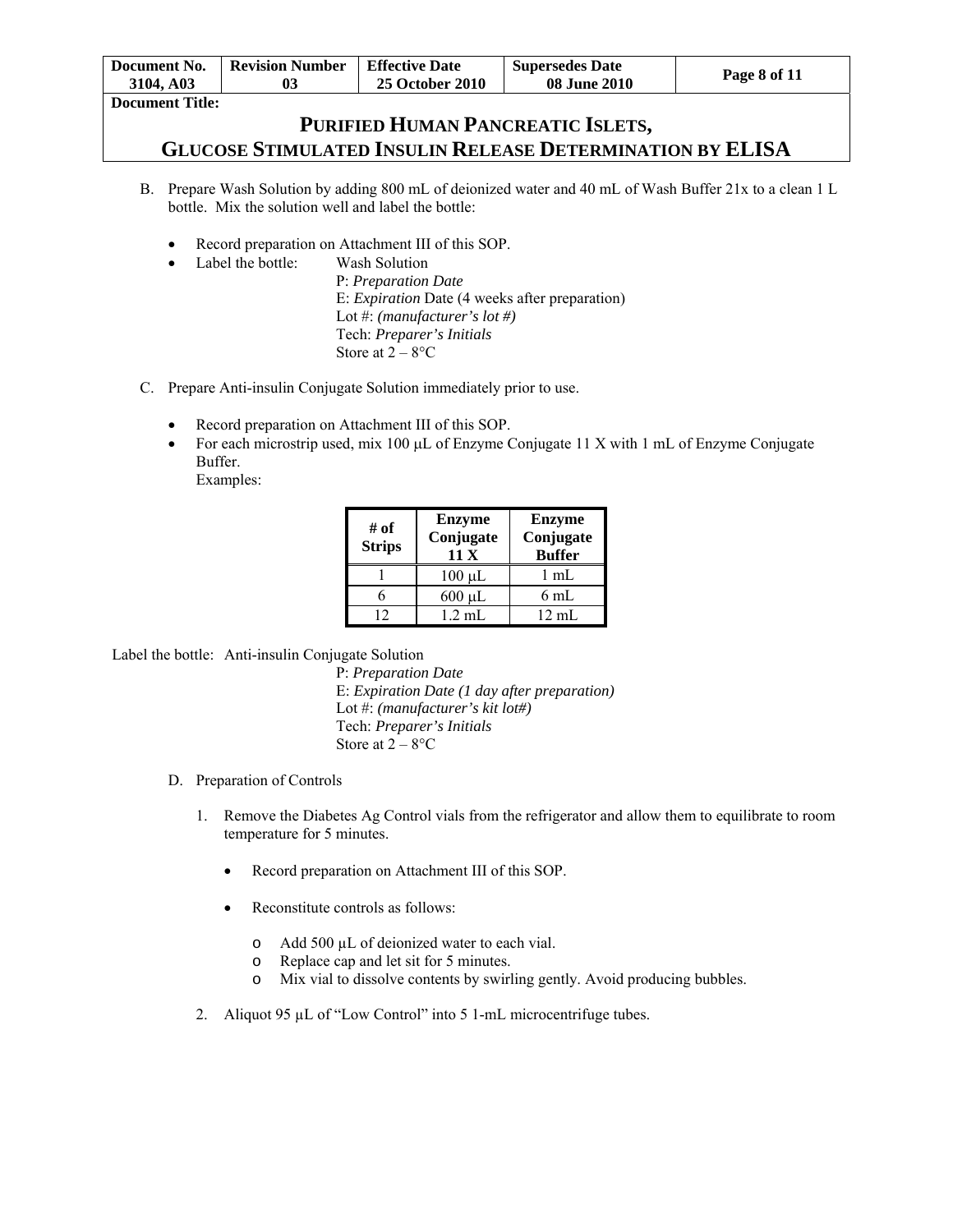| Document No.<br>3104, A03 | <b>Revision Number</b> | <b>Effective Date</b><br><b>25 October 2010</b> | <b>Supersedes Date</b><br><b>08 June 2010</b> | Page 8 of 11 |
|---------------------------|------------------------|-------------------------------------------------|-----------------------------------------------|--------------|
| <b>Document Title:</b>    |                        |                                                 |                                               |              |

- B. Prepare Wash Solution by adding 800 mL of deionized water and 40 mL of Wash Buffer 21x to a clean 1 L bottle. Mix the solution well and label the bottle:
	- Record preparation on Attachment III of this SOP.
	- Label the bottle: Wash Solution

P: *Preparation Date*  E: *Expiration* Date (4 weeks after preparation) Lot #: *(manufacturer's lot #)*  Tech: *Preparer's Initials*  Store at  $2 - 8$ °C

- C. Prepare Anti-insulin Conjugate Solution immediately prior to use.
	- Record preparation on Attachment III of this SOP.
	- For each microstrip used, mix 100  $\mu$ L of Enzyme Conjugate 11 X with 1 mL of Enzyme Conjugate Buffer.
		- Examples:

| # of<br><b>Strips</b> | <b>Enzyme</b><br>Conjugate<br>11X | <b>Enzyme</b><br>Conjugate<br><b>Buffer</b> |
|-----------------------|-----------------------------------|---------------------------------------------|
|                       | $100 \mu L$                       | $1 \text{ mL}$                              |
|                       | $600 \mu L$                       | 6 mL                                        |
| 12                    | $1.2 \text{ mL}$                  | $12 \text{ mL}$                             |

Label the bottle: Anti-insulin Conjugate Solution

P: *Preparation Date* E: *Expiration Date (1 day after preparation)*  Lot #: *(manufacturer's kit lot#)*  Tech: *Preparer's Initials*  Store at  $2 - 8$ °C

- D. Preparation of Controls
	- 1. Remove the Diabetes Ag Control vials from the refrigerator and allow them to equilibrate to room temperature for 5 minutes.
		- Record preparation on Attachment III of this SOP.
		- Reconstitute controls as follows:
			- o Add 500 µL of deionized water to each vial.
			- o Replace cap and let sit for 5 minutes.
			- o Mix vial to dissolve contents by swirling gently. Avoid producing bubbles.
	- 2. Aliquot 95 µL of "Low Control" into 5 1-mL microcentrifuge tubes.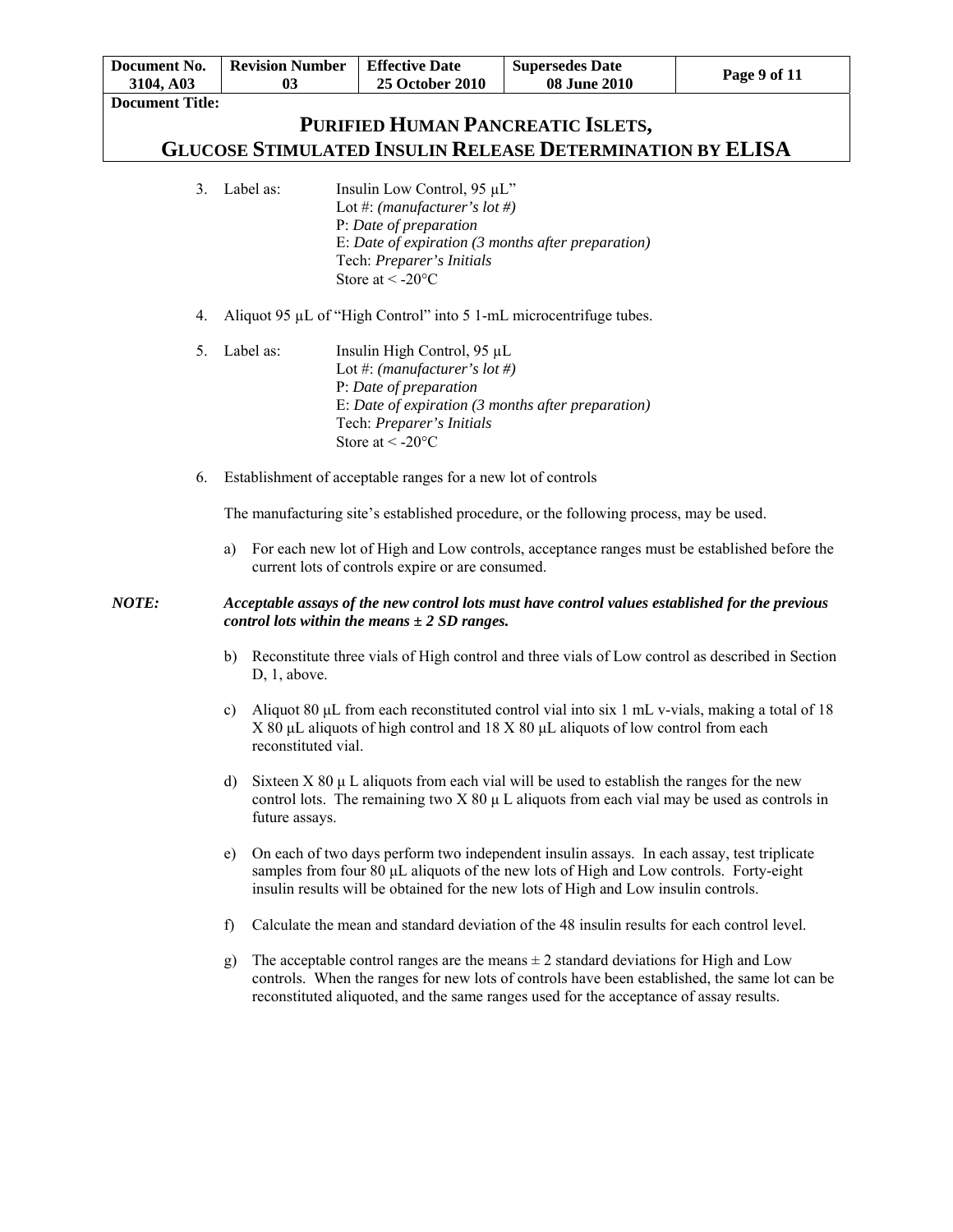| Document No.                        |                                                                                                       | <b>Revision Number</b> | <b>Effective Date</b><br><b>Supersedes Date</b><br>Page 9 of 11                                                                                         |                                                                                                                                                                                                                                                                                     |  |  |  |
|-------------------------------------|-------------------------------------------------------------------------------------------------------|------------------------|---------------------------------------------------------------------------------------------------------------------------------------------------------|-------------------------------------------------------------------------------------------------------------------------------------------------------------------------------------------------------------------------------------------------------------------------------------|--|--|--|
| 3104, A03<br><b>Document Title:</b> |                                                                                                       | 03                     | 25 October 2010                                                                                                                                         | 08 June 2010                                                                                                                                                                                                                                                                        |  |  |  |
|                                     |                                                                                                       |                        |                                                                                                                                                         |                                                                                                                                                                                                                                                                                     |  |  |  |
|                                     | PURIFIED HUMAN PANCREATIC ISLETS,<br><b>GLUCOSE STIMULATED INSULIN RELEASE DETERMINATION BY ELISA</b> |                        |                                                                                                                                                         |                                                                                                                                                                                                                                                                                     |  |  |  |
|                                     |                                                                                                       |                        |                                                                                                                                                         |                                                                                                                                                                                                                                                                                     |  |  |  |
| 3.                                  |                                                                                                       | Label as:              | Insulin Low Control, 95 µL"<br>Lot #: (manufacturer's lot #)<br>P: Date of preparation<br>Tech: Preparer's Initials<br>Store at $\leq$ -20 $^{\circ}$ C | E: Date of expiration (3 months after preparation)                                                                                                                                                                                                                                  |  |  |  |
| 4.                                  |                                                                                                       |                        |                                                                                                                                                         | Aliquot 95 µL of "High Control" into 5 1-mL microcentrifuge tubes.                                                                                                                                                                                                                  |  |  |  |
| 5.                                  |                                                                                                       | Label as:              | Insulin High Control, 95 µL<br>Lot #: (manufacturer's lot #)<br>P: Date of preparation<br>Tech: Preparer's Initials<br>Store at $\leq$ -20 $^{\circ}$ C | E: Date of expiration (3 months after preparation)                                                                                                                                                                                                                                  |  |  |  |
| 6.                                  |                                                                                                       |                        | Establishment of acceptable ranges for a new lot of controls                                                                                            |                                                                                                                                                                                                                                                                                     |  |  |  |
|                                     |                                                                                                       |                        |                                                                                                                                                         | The manufacturing site's established procedure, or the following process, may be used.                                                                                                                                                                                              |  |  |  |
|                                     | a)                                                                                                    |                        | current lots of controls expire or are consumed.                                                                                                        | For each new lot of High and Low controls, acceptance ranges must be established before the                                                                                                                                                                                         |  |  |  |
| NOTE:                               |                                                                                                       |                        | control lots within the means $\pm$ 2 SD ranges.                                                                                                        | Acceptable assays of the new control lots must have control values established for the previous                                                                                                                                                                                     |  |  |  |
|                                     |                                                                                                       | D, 1, above.           |                                                                                                                                                         | b) Reconstitute three vials of High control and three vials of Low control as described in Section                                                                                                                                                                                  |  |  |  |
|                                     | c)                                                                                                    | reconstituted vial.    |                                                                                                                                                         | Aliquot 80 µL from each reconstituted control vial into six 1 mL v-vials, making a total of 18<br>$X$ 80 µL aliquots of high control and 18 $X$ 80 µL aliquots of low control from each                                                                                             |  |  |  |
|                                     | d)                                                                                                    | future assays.         |                                                                                                                                                         | Sixteen $X$ 80 $\mu$ L aliquots from each vial will be used to establish the ranges for the new<br>control lots. The remaining two $X 80 \mu$ L aliquots from each vial may be used as controls in                                                                                  |  |  |  |
|                                     | e)                                                                                                    |                        |                                                                                                                                                         | On each of two days perform two independent insulin assays. In each assay, test triplicate<br>samples from four 80 µL aliquots of the new lots of High and Low controls. Forty-eight<br>insulin results will be obtained for the new lots of High and Low insulin controls.         |  |  |  |
|                                     | f)                                                                                                    |                        |                                                                                                                                                         | Calculate the mean and standard deviation of the 48 insulin results for each control level.                                                                                                                                                                                         |  |  |  |
|                                     | g)                                                                                                    |                        |                                                                                                                                                         | The acceptable control ranges are the means $\pm 2$ standard deviations for High and Low<br>controls. When the ranges for new lots of controls have been established, the same lot can be<br>reconstituted aliquoted, and the same ranges used for the acceptance of assay results. |  |  |  |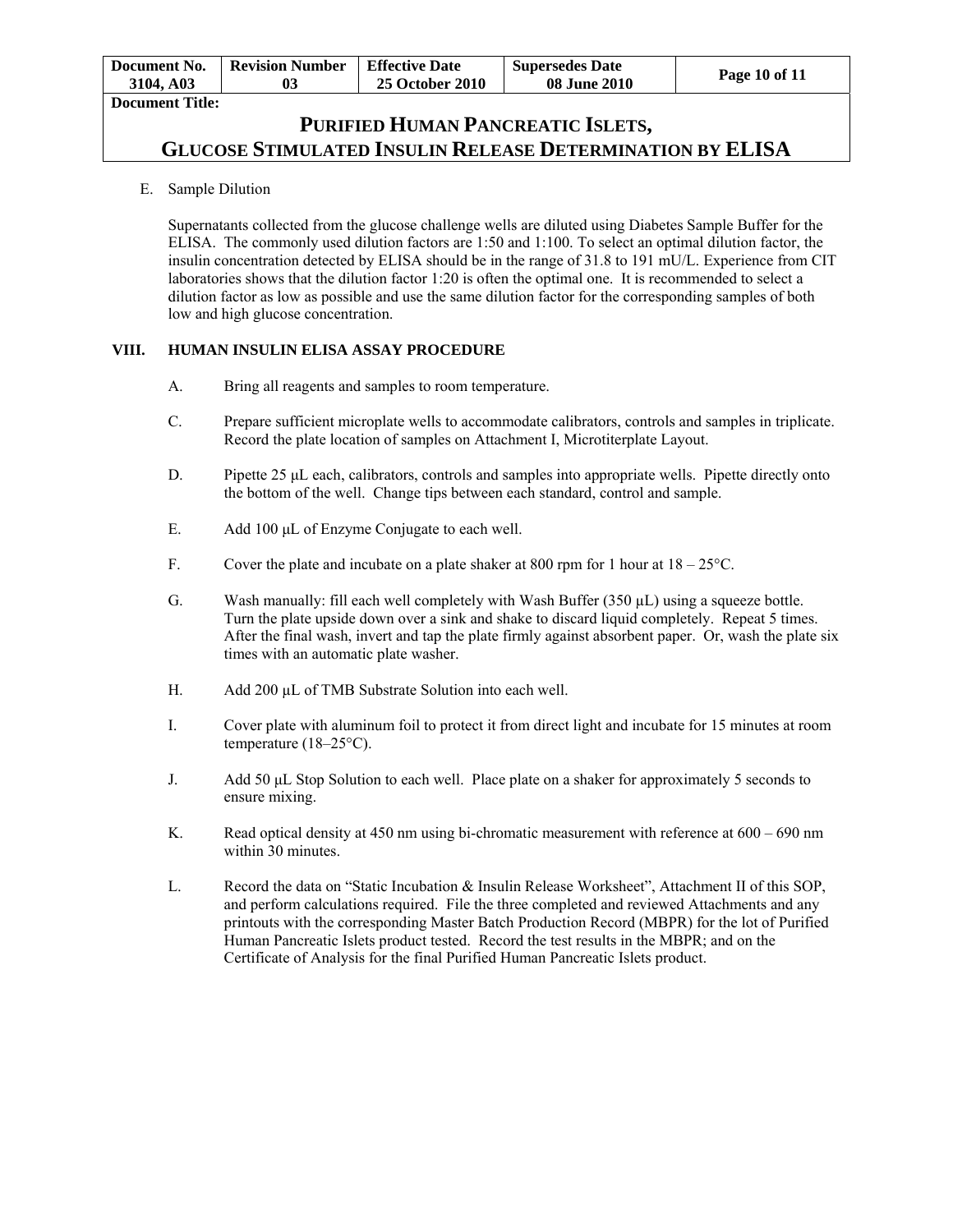| Document No.           | <b>Revision Number</b> | <b>Effective Date</b>  | <b>Supersedes Date</b> | Page 10 of 11 |
|------------------------|------------------------|------------------------|------------------------|---------------|
| 3104. A03              | 03                     | <b>25 October 2010</b> | <b>08 June 2010</b>    |               |
| <b>Document Title:</b> |                        |                        |                        |               |

E. Sample Dilution

Supernatants collected from the glucose challenge wells are diluted using Diabetes Sample Buffer for the ELISA. The commonly used dilution factors are 1:50 and 1:100. To select an optimal dilution factor, the insulin concentration detected by ELISA should be in the range of 31.8 to 191 mU/L. Experience from CIT laboratories shows that the dilution factor 1:20 is often the optimal one. It is recommended to select a dilution factor as low as possible and use the same dilution factor for the corresponding samples of both low and high glucose concentration.

### **VIII. HUMAN INSULIN ELISA ASSAY PROCEDURE**

- A. Bring all reagents and samples to room temperature.
- C. Prepare sufficient microplate wells to accommodate calibrators, controls and samples in triplicate. Record the plate location of samples on Attachment I, Microtiterplate Layout.
- D. Pipette 25 µL each, calibrators, controls and samples into appropriate wells. Pipette directly onto the bottom of the well. Change tips between each standard, control and sample.
- E. Add 100 μL of Enzyme Conjugate to each well.
- F. Cover the plate and incubate on a plate shaker at 800 rpm for 1 hour at  $18-25^{\circ}$ C.
- G. Wash manually: fill each well completely with Wash Buffer  $(350 \mu L)$  using a squeeze bottle. Turn the plate upside down over a sink and shake to discard liquid completely. Repeat 5 times. After the final wash, invert and tap the plate firmly against absorbent paper. Or, wash the plate six times with an automatic plate washer.
- H. Add 200 µL of TMB Substrate Solution into each well.
- I. Cover plate with aluminum foil to protect it from direct light and incubate for 15 minutes at room temperature (18–25°C).
- J. Add 50 μL Stop Solution to each well. Place plate on a shaker for approximately 5 seconds to ensure mixing.
- K. Read optical density at 450 nm using bi-chromatic measurement with reference at  $600 690$  nm within 30 minutes.
- L. Record the data on "Static Incubation & Insulin Release Worksheet", Attachment II of this SOP, and perform calculations required. File the three completed and reviewed Attachments and any printouts with the corresponding Master Batch Production Record (MBPR) for the lot of Purified Human Pancreatic Islets product tested. Record the test results in the MBPR; and on the Certificate of Analysis for the final Purified Human Pancreatic Islets product.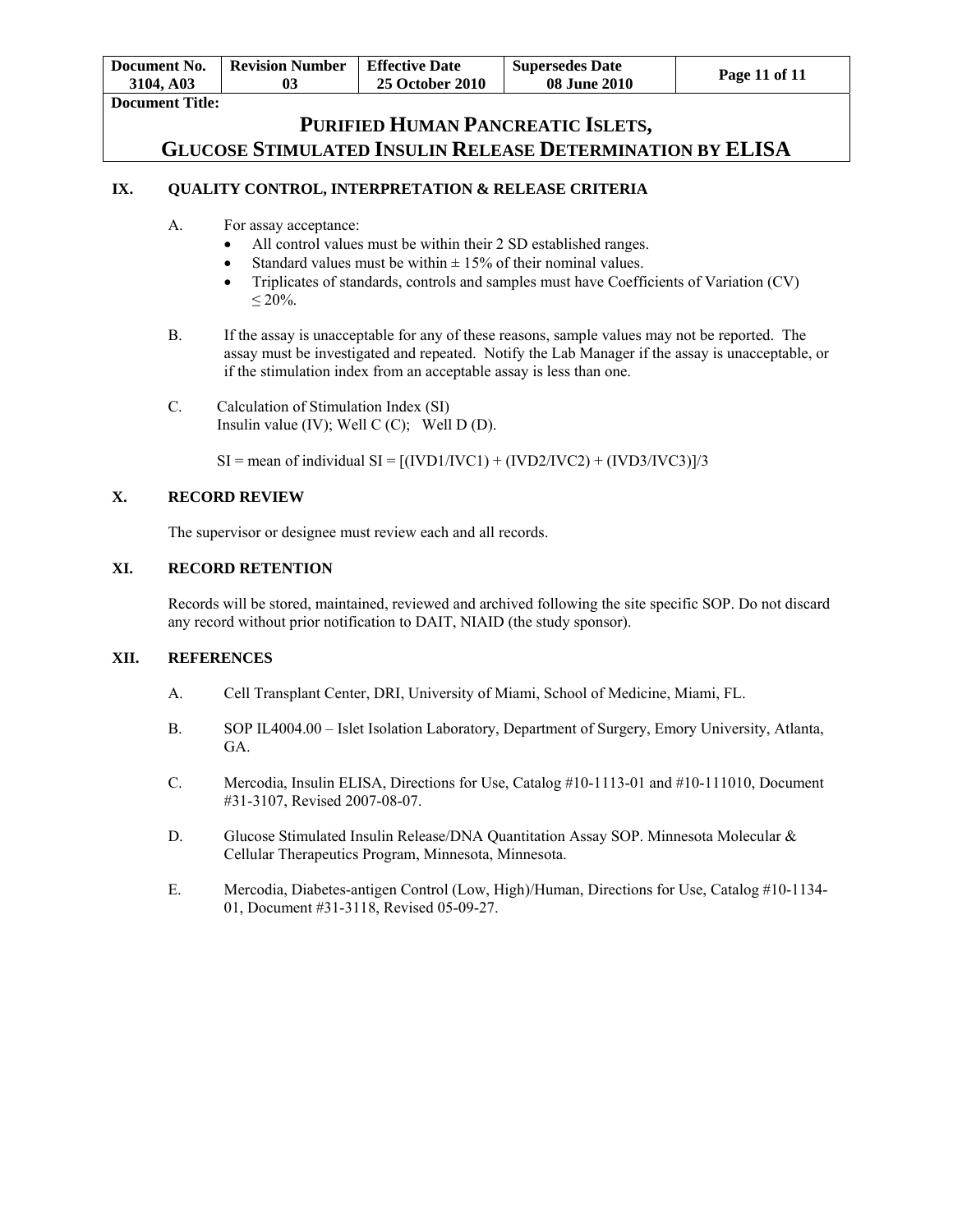| Document No.<br>3104. A03 | <b>Revision Number</b> | <b>Effective Date</b><br><b>25 October 2010</b> | <b>Supersedes Date</b><br><b>08 June 2010</b> | Page 11 of 11 |
|---------------------------|------------------------|-------------------------------------------------|-----------------------------------------------|---------------|
| <b>Document Title:</b>    |                        |                                                 |                                               |               |

### **IX. QUALITY CONTROL, INTERPRETATION & RELEASE CRITERIA**

- A. For assay acceptance:
	- All control values must be within their 2 SD established ranges.
	- Standard values must be within  $\pm$  15% of their nominal values.
	- Triplicates of standards, controls and samples must have Coefficients of Variation (CV)  $≤ 20%$ .
- B. If the assay is unacceptable for any of these reasons, sample values may not be reported. The assay must be investigated and repeated. Notify the Lab Manager if the assay is unacceptable, or if the stimulation index from an acceptable assay is less than one.
- C. Calculation of Stimulation Index (SI) Insulin value (IV); Well C (C); Well D (D).
	- $SI =$  mean of individual  $SI = [(IVD1/IVC1) + (IVD2/IVC2) + (IVD3/IVC3)]/3$

### **X. RECORD REVIEW**

The supervisor or designee must review each and all records.

### **XI. RECORD RETENTION**

Records will be stored, maintained, reviewed and archived following the site specific SOP. Do not discard any record without prior notification to DAIT, NIAID (the study sponsor).

#### **XII. REFERENCES**

- A. Cell Transplant Center, DRI, University of Miami, School of Medicine, Miami, FL.
- B. SOP IL4004.00 Islet Isolation Laboratory, Department of Surgery, Emory University, Atlanta, GA.
- C. Mercodia, Insulin ELISA, Directions for Use, Catalog #10-1113-01 and #10-111010, Document #31-3107, Revised 2007-08-07.
- D. Glucose Stimulated Insulin Release/DNA Quantitation Assay SOP. Minnesota Molecular & Cellular Therapeutics Program, Minnesota, Minnesota.
- E. Mercodia, Diabetes-antigen Control (Low, High)/Human, Directions for Use, Catalog #10-1134- 01, Document #31-3118, Revised 05-09-27.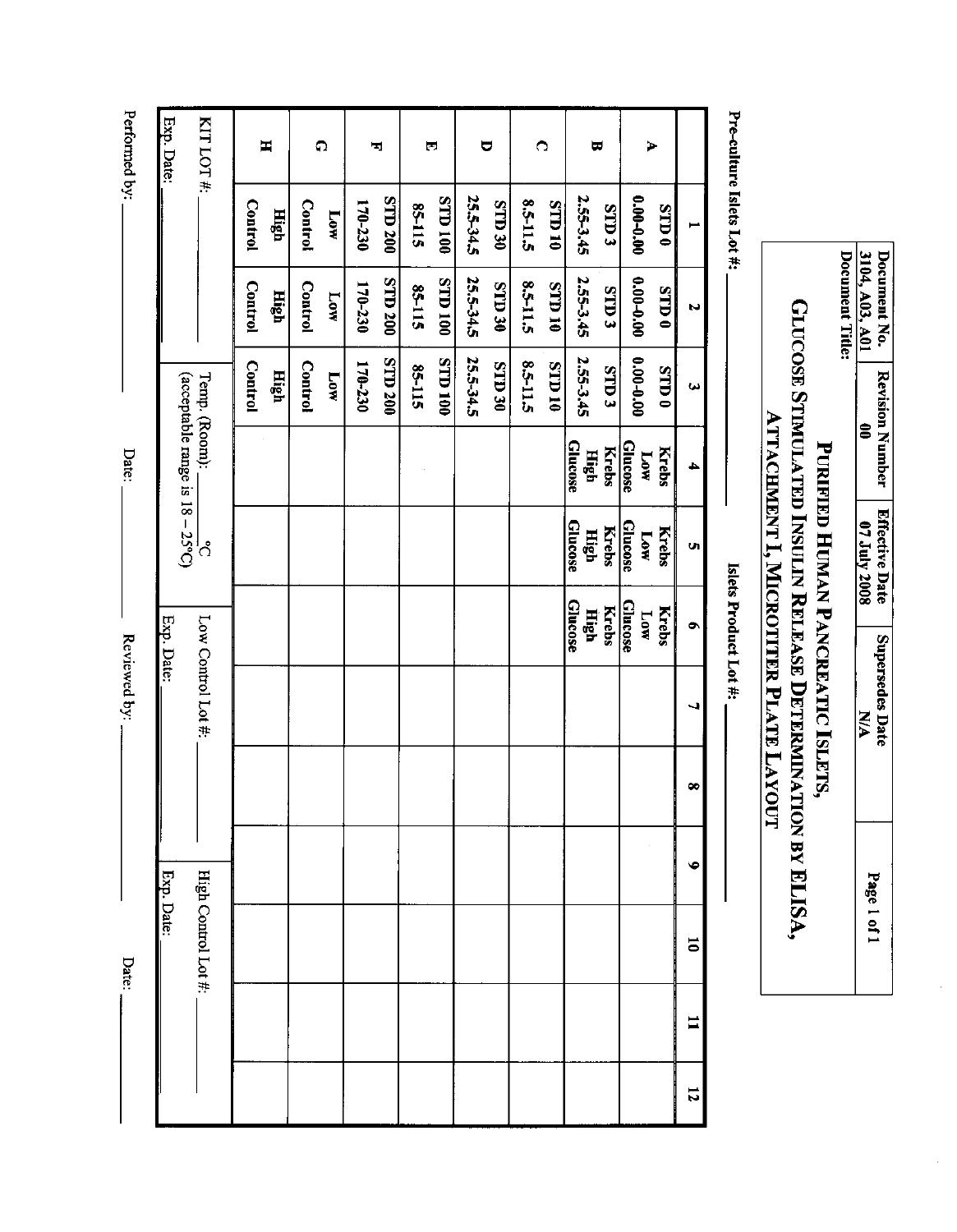Performed by:

Reviewed by:

Date:

Date:

Exp. Date: KITLOT#:  $\blacksquare$  $\Omega$  $\blacksquare$  $\bullet$  $\blacktriangleright$  $\blacksquare$  $\overline{\mathbb{F}}$  $\blacksquare$ **STD 200** 001 Q.IS 25.5-34.5 2.55-3.45 **E** CLLS 0.00-0.00 **S2-115** OE CLLS 8.5-11.5 01 Q.L.S  $0$  CLIS **Control Control** 170-230 High Low 25.5-34.5 **STD 200** 001 QLS 2.55-3.45  $0.00 - 0.00$ **Control** 170-230 OE CLLS 8.5-11.5 **OI** CLLS E CLIS **Control STD0 85-115** High Low N **STD 200 001 QLS** 2.55-3.45 25.5-34.5  $0.00 - 0.00$ 85-115 8.5-11.5 01 Q.L.S Control 170-230 **Control** OE CLIS STD<sub>3</sub>  $0$  CLLS High **Low** (acceptable range is  $18 - 25^{\circ}$ C) Temp. (Room):  $\omega$ **Glucose** Glucose **Krebs High Krebs** иот Glucose **Krebs** Glucose **Krebs** High ком ¦ဂိ Ú, **Glucose Glucose High Krebs Krebs Low** Low Control Lot #: Exp. Date:  $\bullet$  $\infty$  $\bullet$ High Control Lot #: Exp. Date:  $\overline{\phantom{0}}$  $\mathbf{I}$  $\overline{u}$ 

Document No.<br>3104, A03, A01 Document Title: **GLUCOSE STIMULATED INSULIN RELEASE DETERMINATION BY ELISA,** Revision Number  $\hat{\mathbf{s}}$ **PURIFIED HUMAN PANCREATIC ISLETS**, Effective Date<br>07 July 2008 **Supersedes Date N/A** Page 1 of 1

**ATTACHMENT I, MICROTITER PLATE LAYOUT** 

Islets Product Lot #:

Pre-culture Islets Lot #: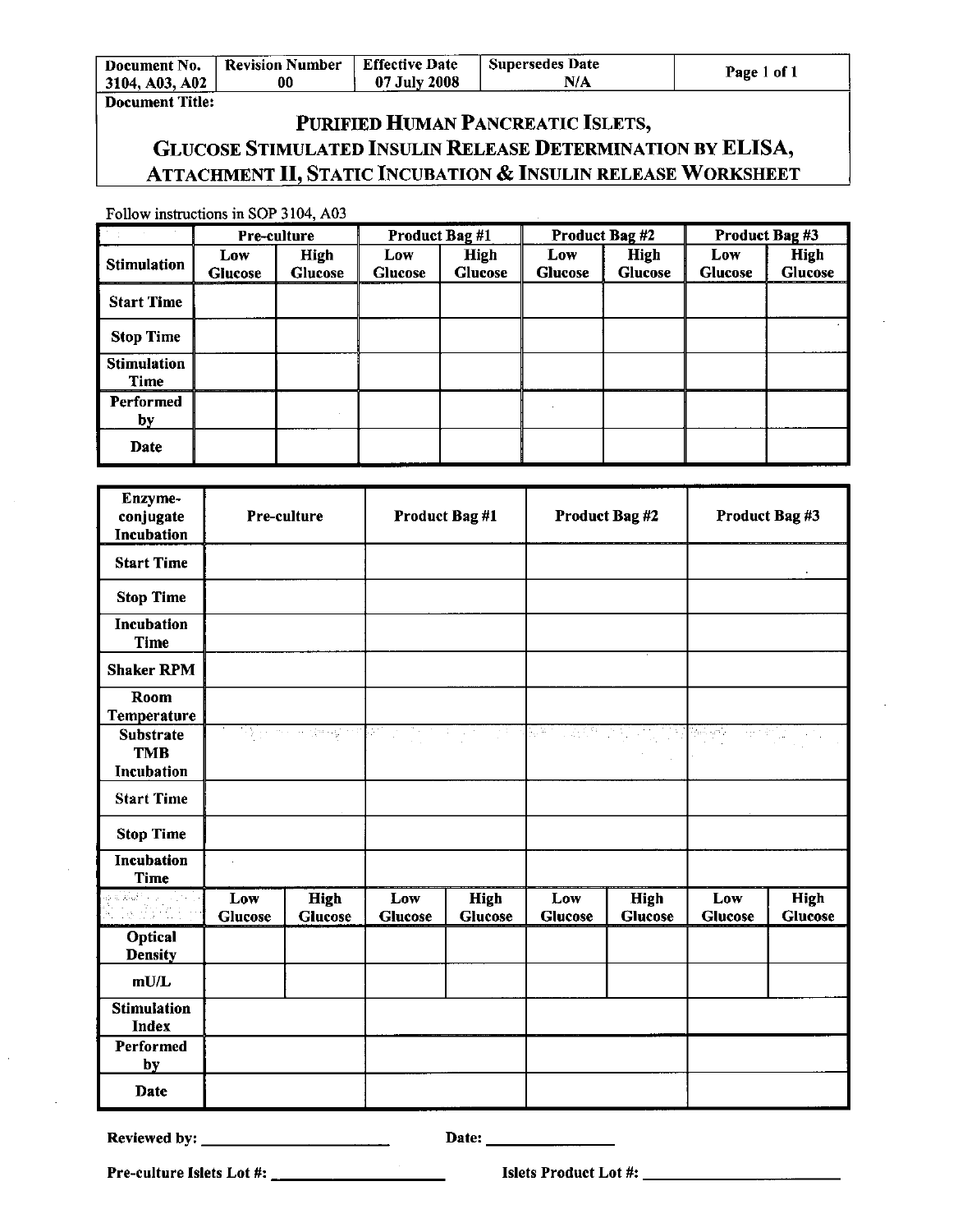| Document No.   | <b>Revision Number</b> | <b>Effective Date</b> | <b>Supersedes Date</b> | $1$ of $\overline{1}$ |
|----------------|------------------------|-----------------------|------------------------|-----------------------|
| 3104, A03, A02 | 00                     | 07 July 2008          | $N/\Lambda$            | l'age                 |

### Document Title:

# PURIFIED HUMAN PANCREATIC ISLETS, GLUCOSE STIMULATED INSULIN RELEASE DETERMINATION BY ELISA, **ATTACHMENT II, STATIC INCUBATION & INSULIN RELEASE WORKSHEET**

Follow instructions in SOP 3104, A03

|                            | <b>Pre-culture</b>    |                        | Product Bag #1        |                               | Product Bag #2        |                               | Product Bag #3        |                        |
|----------------------------|-----------------------|------------------------|-----------------------|-------------------------------|-----------------------|-------------------------------|-----------------------|------------------------|
| <b>Stimulation</b>         | Low<br><b>Glucose</b> | High<br><b>Glucose</b> | Low<br><b>Glucose</b> | <b>High</b><br><b>Glucose</b> | Low<br><b>Glucose</b> | <b>High</b><br><b>Glucose</b> | Low<br><b>Glucose</b> | High<br><b>Glucose</b> |
| <b>Start Time</b>          |                       |                        |                       |                               |                       |                               |                       |                        |
| <b>Stop Time</b>           |                       |                        |                       |                               |                       |                               |                       |                        |
| <b>Stimulation</b><br>Time |                       |                        |                       |                               |                       |                               |                       |                        |
| Performed<br>by            |                       |                        |                       |                               |                       |                               |                       |                        |
| Date                       |                       |                        |                       |                               |                       |                               |                       |                        |

| Enzyme-<br>conjugate<br>Incubation           |                | Pre-culture                           |                       | <b>Product Bag #1</b>           |                       | Product Bag #2                | Product Bag #3        |                               |
|----------------------------------------------|----------------|---------------------------------------|-----------------------|---------------------------------|-----------------------|-------------------------------|-----------------------|-------------------------------|
| <b>Start Time</b>                            |                |                                       |                       |                                 |                       |                               |                       |                               |
| <b>Stop Time</b>                             |                |                                       |                       |                                 |                       |                               |                       |                               |
| <b>Incubation</b><br><b>Time</b>             |                |                                       |                       |                                 |                       |                               |                       |                               |
| <b>Shaker RPM</b>                            |                |                                       |                       |                                 |                       |                               |                       |                               |
| Room<br>Temperature                          |                |                                       |                       |                                 |                       |                               |                       |                               |
| <b>Substrate</b><br><b>TMB</b><br>Incubation |                | <u>ਦੇ ਸ਼ੁਰੂ ਨਾਲ ਦਾ ਦੇਵ ਸ਼ੁਰੂ ਦੇ ਸ</u> | bit i<br>÷.           | $\sim 10^{-1}$<br>34.<br>$\sim$ | िल                    | <u> 대한민국의 대학</u>              | 정말에<br>in the film    |                               |
| <b>Start Time</b>                            |                |                                       |                       |                                 |                       |                               |                       |                               |
| <b>Stop Time</b>                             |                |                                       |                       |                                 |                       |                               |                       |                               |
| <b>Incubation</b><br><b>Time</b>             |                |                                       |                       |                                 |                       |                               |                       |                               |
| alkan ya Siri<br>Takalimi                    | Low<br>Glucose | <b>High</b><br><b>Glucose</b>         | Low<br><b>Glucose</b> | <b>High</b><br><b>Glucose</b>   | Low<br><b>Glucose</b> | <b>High</b><br><b>Glucose</b> | Low<br><b>Glucose</b> | <b>High</b><br><b>Glucose</b> |
| Optical<br><b>Density</b>                    |                |                                       |                       |                                 |                       |                               |                       |                               |
| mU/L                                         |                |                                       |                       |                                 |                       |                               |                       |                               |
| <b>Stimulation</b><br><b>Index</b>           |                |                                       |                       |                                 |                       |                               |                       |                               |
| Performed<br>by                              |                |                                       |                       |                                 |                       |                               |                       |                               |
| Date                                         |                |                                       |                       |                                 |                       |                               |                       |                               |

Date: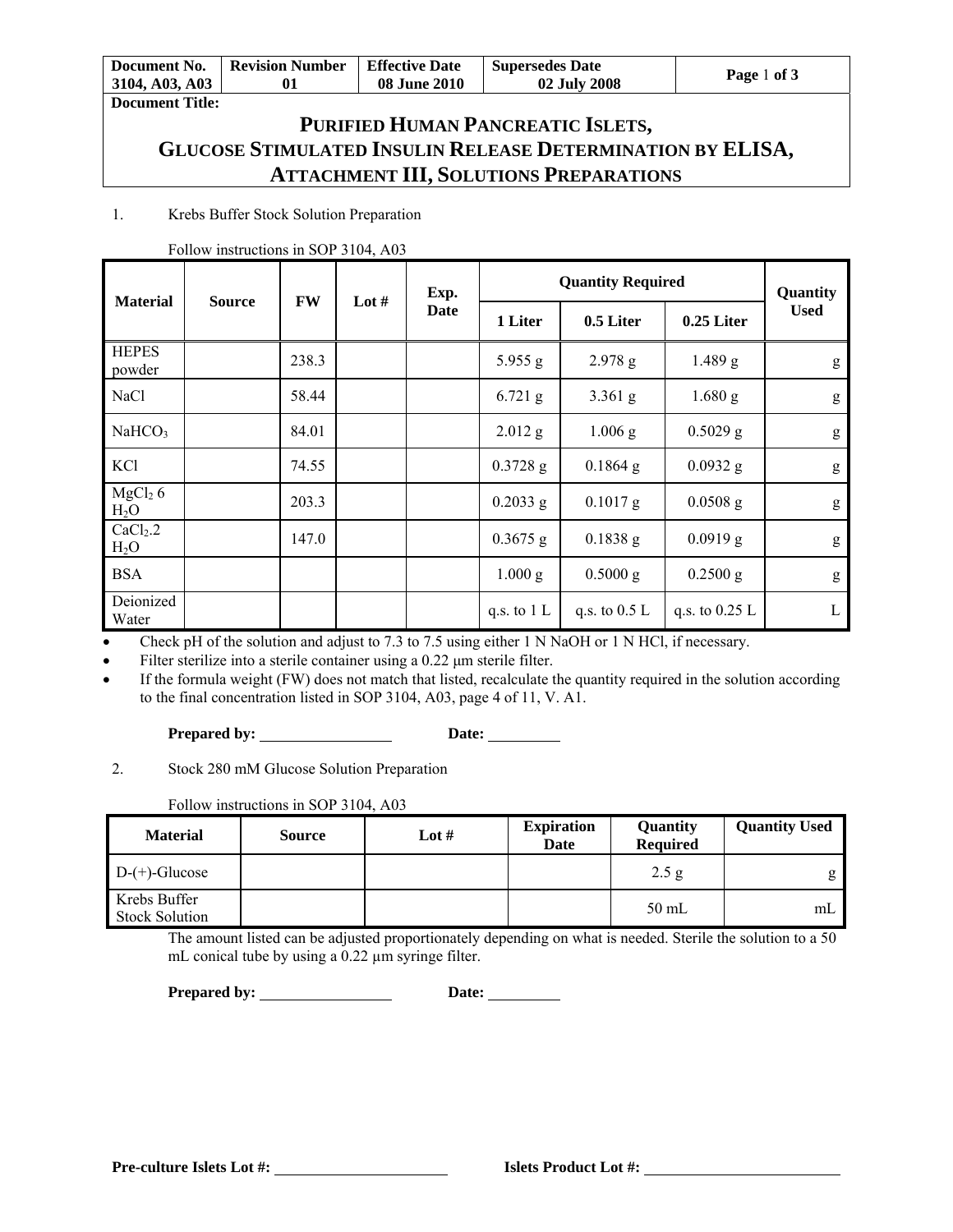| Document No.<br>3104, A03, A03 | <b>Revision Number</b> | <b>Effective Date</b><br><b>08 June 2010</b> | <b>Supersedes Date</b><br>02 July 2008 | Page 1 of 3 |
|--------------------------------|------------------------|----------------------------------------------|----------------------------------------|-------------|
| <b>Document Title:</b>         |                        |                                              |                                        |             |

# **PURIFIED HUMAN PANCREATIC ISLETS, GLUCOSE STIMULATED INSULIN RELEASE DETERMINATION BY ELISA, ATTACHMENT III, SOLUTIONS PREPARATIONS**

### 1. Krebs Buffer Stock Solution Preparation

| <b>Material</b>               | <b>Source</b> | <b>FW</b> | Lot # | Exp. |               | <b>Quantity Required</b> |                  | Quantity    |
|-------------------------------|---------------|-----------|-------|------|---------------|--------------------------|------------------|-------------|
|                               |               |           |       | Date | 1 Liter       | 0.5 Liter                | 0.25 Liter       | <b>Used</b> |
| <b>HEPES</b><br>powder        |               | 238.3     |       |      | 5.955 g       | $2.978$ g                | $1.489$ g        | g           |
| NaCl                          |               | 58.44     |       |      | $6.721$ g     | $3.361$ g                | $1.680$ g        | g           |
| NaHCO <sub>3</sub>            |               | 84.01     |       |      | $2.012$ g     | $1.006$ g                | $0.5029$ g       | g           |
| KCl                           |               | 74.55     |       |      | $0.3728$ g    | $0.1864$ g               | $0.0932$ g       | g           |
| MgCl <sub>2</sub> 6<br>$H_2O$ |               | 203.3     |       |      | $0.2033$ g    | $0.1017$ g               | $0.0508$ g       | g           |
| $CaCl2$ .2<br>$H_2O$          |               | 147.0     |       |      | $0.3675$ g    | 0.1838 g                 | $0.0919$ g       | g           |
| <b>BSA</b>                    |               |           |       |      | 1.000 g       | $0.5000$ g               | $0.2500$ g       | g           |
| Deionized<br>Water            |               |           |       |      | q.s. to $1 L$ | q.s. to $0.5 L$          | q.s. to $0.25$ L | L           |

#### Follow instructions in SOP 3104, A03

Check pH of the solution and adjust to 7.3 to 7.5 using either 1 N NaOH or 1 N HCl, if necessary.

Filter sterilize into a sterile container using a 0.22 μm sterile filter.

 If the formula weight (FW) does not match that listed, recalculate the quantity required in the solution according to the final concentration listed in SOP 3104, A03, page 4 of 11, V. A1.

### Prepared by: <u>Date:</u> Date:

2. Stock 280 mM Glucose Solution Preparation

Follow instructions in SOP 3104, A03

| <b>Material</b>                       | <b>Source</b> | Lot # | <b>Expiration</b><br>Date | Quantity<br><b>Required</b> | <b>Quantity Used</b> |
|---------------------------------------|---------------|-------|---------------------------|-----------------------------|----------------------|
| $D-(+)$ -Glucose                      |               |       |                           | 2.5 g                       | g                    |
| Krebs Buffer<br><b>Stock Solution</b> |               |       |                           | $50$ mL                     | mL                   |

The amount listed can be adjusted proportionately depending on what is needed. Sterile the solution to a 50 mL conical tube by using a 0.22  $\mu$ m syringe filter.

Prepared by: <u>Date:</u> Date: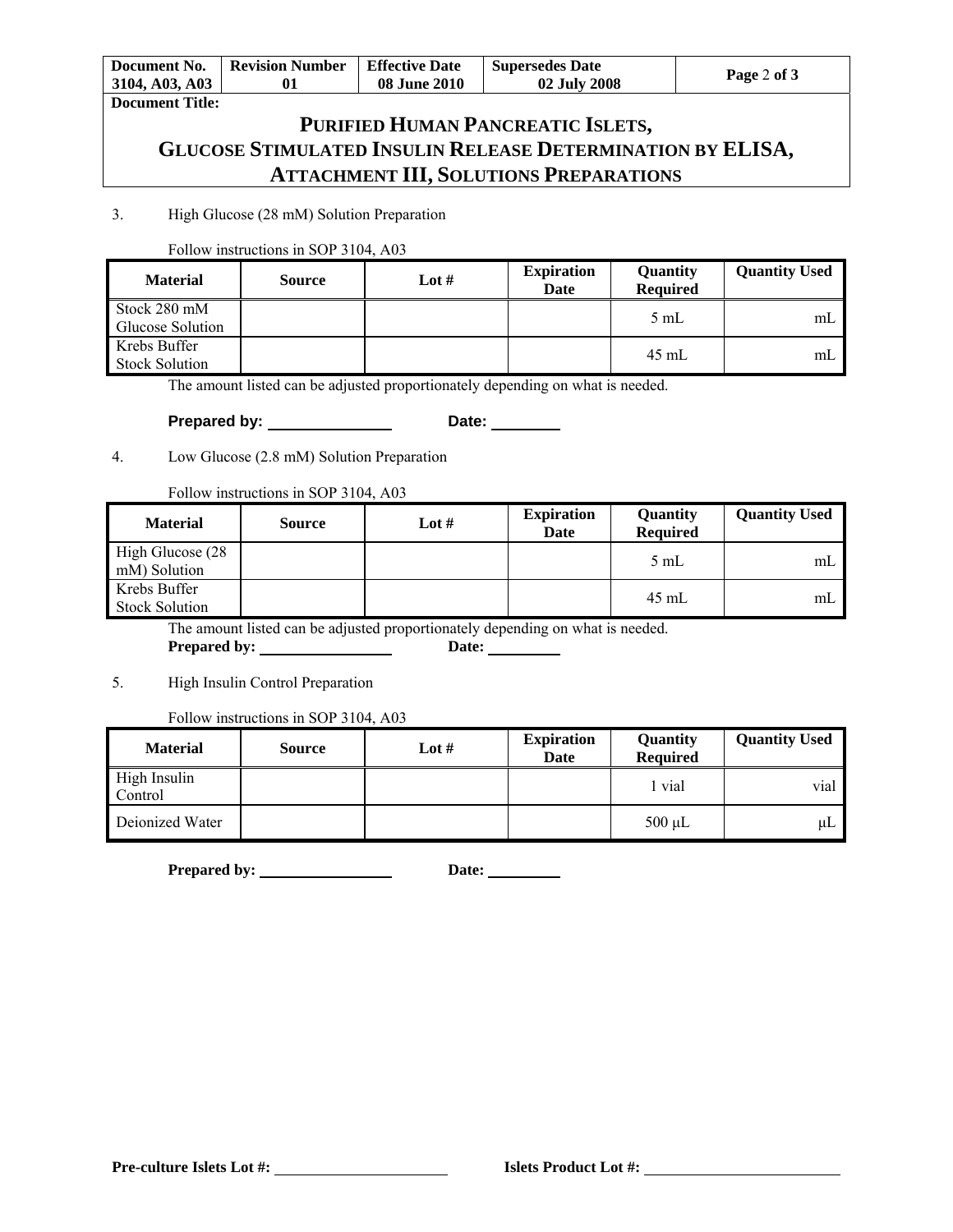| Document No.<br>3104, A03, A03 | <b>Revision Number</b> | <b>Effective Date</b><br><b>08 June 2010</b> | <b>Supersedes Date</b><br>02 July 2008 | Page 2 of 3 |
|--------------------------------|------------------------|----------------------------------------------|----------------------------------------|-------------|
| <b>Document Title:</b>         |                        |                                              |                                        |             |

# **PURIFIED HUMAN PANCREATIC ISLETS, GLUCOSE STIMULATED INSULIN RELEASE DETERMINATION BY ELISA, ATTACHMENT III, SOLUTIONS PREPARATIONS**

### 3. High Glucose (28 mM) Solution Preparation

### Follow instructions in SOP 3104, A03

| <b>Material</b>                         | <b>Source</b> | Lot # | <b>Expiration</b><br>Date | Quantity<br><b>Required</b> | <b>Quantity Used</b> |
|-----------------------------------------|---------------|-------|---------------------------|-----------------------------|----------------------|
| Stock 280 mM<br><b>Glucose Solution</b> |               |       |                           | 5 mL                        | mL                   |
| Krebs Buffer<br><b>Stock Solution</b>   |               |       |                           | $45 \text{ mL}$             | mL                   |

The amount listed can be adjusted proportionately depending on what is needed.

### **Prepared by: Date:**

4. Low Glucose (2.8 mM) Solution Preparation

Follow instructions in SOP 3104, A03

| <b>Material</b>                       | <b>Source</b> | Lot # | <b>Expiration</b><br>Date | Quantity<br><b>Required</b> | <b>Quantity Used</b> |
|---------------------------------------|---------------|-------|---------------------------|-----------------------------|----------------------|
| High Glucose (28<br>mM) Solution      |               |       |                           | $5 \text{ mL}$              | mL                   |
| Krebs Buffer<br><b>Stock Solution</b> |               |       |                           | $45 \text{ mL}$             | mL                   |

The amount listed can be adjusted proportionately depending on what is needed.

**Prepared by: Date:** 

5. High Insulin Control Preparation

Follow instructions in SOP 3104, A03

| <b>Material</b>         | <b>Source</b> | Lot # | <b>Expiration</b><br>Date | Quantity<br><b>Required</b> | <b>Quantity Used</b> |
|-------------------------|---------------|-------|---------------------------|-----------------------------|----------------------|
| High Insulin<br>Control |               |       |                           | 1 vial                      | vial                 |
| Deionized Water         |               |       |                           | $500 \mu L$                 | μL                   |

**Prepared by: Date:**